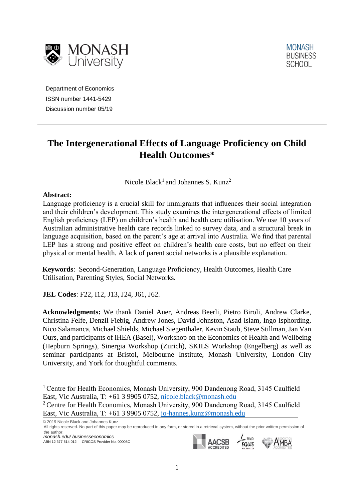



Department of Economics ISSN number 1441-5429 Discussion number 05/19

# **The Intergenerational Effects of Language Proficiency on Child Health Outcomes\***

Nicole Black<sup>1</sup> and Johannes S. Kunz<sup>2</sup>

## **Abstract:**

Language proficiency is a crucial skill for immigrants that influences their social integration and their children's development. This study examines the intergenerational effects of limited English proficiency (LEP) on children's health and health care utilisation. We use 10 years of Australian administrative health care records linked to survey data, and a structural break in language acquisition, based on the parent's age at arrival into Australia. We find that parental LEP has a strong and positive effect on children's health care costs, but no effect on their physical or mental health. A lack of parent social networks is a plausible explanation.

**Keywords**: Second-Generation, Language Proficiency, Health Outcomes, Health Care Utilisation, Parenting Styles, Social Networks.

**JEL Codes**: F22, I12, J13, J24, J61, J62.

**Acknowledgments:** We thank Daniel Auer, Andreas Beerli, Pietro Biroli, Andrew Clarke, Christina Felfe, Denzil Fiebig, Andrew Jones, David Johnston, Asad Islam, Ingo Isphording, Nico Salamanca, Michael Shields, Michael Siegenthaler, Kevin Staub, Steve Stillman, Jan Van Ours, and participants of iHEA (Basel), Workshop on the Economics of Health and Wellbeing (Hepburn Springs), Sinergia Workshop (Zurich), SKILS Workshop (Engelberg) as well as seminar participants at Bristol, Melbourne Institute, Monash University, London City University, and York for thoughtful comments.

<sup>1</sup> Centre for Health Economics, Monash University, 900 Dandenong Road, 3145 Caulfield East, Vic Australia, T: +61 3 9905 0752, [nicole.black@monash.edu](mailto:nicole.black@monash.edu) <sup>2</sup> Centre for Health Economics, Monash University, 900 Dandenong Road, 3145 Caulfield East, Vic Australia, T: +61 3 9905 0752, [jo-hannes.kunz@monash.edu](mailto:jo-hannes.kunz@monash.edu)

© 2019 Nicole Black and Johannes Kunz All rights reserved. No part of this paper may be reproduced in any form, or stored in a retrieval system, without the prior written permission of the author.*monash.edu/ businesseconomics* FFMD

ABN 12 377 614 012 CRICOS Provider No. 00008C

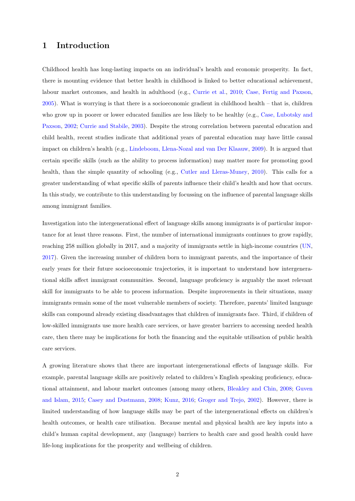## 1 Introduction

Childhood health has long-lasting impacts on an individual's health and economic prosperity. In fact, there is mounting evidence that better health in childhood is linked to better educational achievement, labour market outcomes, and health in adulthood (e.g., [Currie et al.,](#page-25-0) [2010;](#page-25-0) [Case, Fertig and Paxson,](#page-25-1) [2005\)](#page-25-1). What is worrying is that there is a socioeconomic gradient in childhood health – that is, children who grow up in poorer or lower educated families are less likely to be healthy (e.g., [Case, Lubotsky and](#page-25-2) [Paxson,](#page-25-2) [2002;](#page-25-2) [Currie and Stabile,](#page-25-3) [2003\)](#page-25-3). Despite the strong correlation between parental education and child health, recent studies indicate that additional years of parental education may have little causal impact on children's health (e.g., [Lindeboom, Llena-Nozal and van Der Klaauw,](#page-27-0) [2009\)](#page-27-0). It is argued that certain specific skills (such as the ability to process information) may matter more for promoting good health, than the simple quantity of schooling (e.g., [Cutler and Lleras-Muney,](#page-26-0) [2010\)](#page-26-0). This calls for a greater understanding of what specific skills of parents influence their child's health and how that occurs. In this study, we contribute to this understanding by focussing on the influence of parental language skills among immigrant families.

Investigation into the intergenerational effect of language skills among immigrants is of particular importance for at least three reasons. First, the number of international immigrants continues to grow rapidly, reaching 258 million globally in 2017, and a majority of immigrants settle in high-income countries [\(UN,](#page-27-1) [2017\)](#page-27-1). Given the increasing number of children born to immigrant parents, and the importance of their early years for their future socioeconomic trajectories, it is important to understand how intergenerational skills affect immigrant communities. Second, language proficiency is arguably the most relevant skill for immigrants to be able to process information. Despite improvements in their situations, many immigrants remain some of the most vulnerable members of society. Therefore, parents' limited language skills can compound already existing disadvantages that children of immigrants face. Third, if children of low-skilled immigrants use more health care services, or have greater barriers to accessing needed health care, then there may be implications for both the financing and the equitable utilisation of public health care services.

A growing literature shows that there are important intergenerational effects of language skills. For example, parental language skills are positively related to children's English speaking proficiency, educational attainment, and labour market outcomes (among many others, [Bleakley and Chin,](#page-25-4) [2008;](#page-25-4) [Guven](#page-26-1) [and Islam,](#page-26-1) [2015;](#page-26-1) [Casey and Dustmann,](#page-25-5) [2008;](#page-25-5) [Kunz,](#page-26-2) [2016;](#page-26-2) [Groger and Trejo,](#page-26-3) [2002\)](#page-26-3). However, there is limited understanding of how language skills may be part of the intergenerational effects on children's health outcomes, or health care utilisation. Because mental and physical health are key inputs into a child's human capital development, any (language) barriers to health care and good health could have life-long implications for the prosperity and wellbeing of children.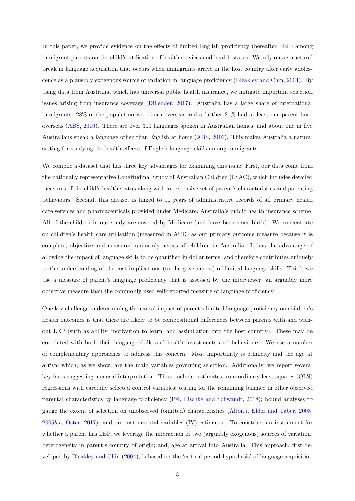In this paper, we provide evidence on the effects of limited English proficiency (hereafter LEP) among immigrant parents on the child's utilisation of health services and health status. We rely on a structural break in language acquisition that occurs when immigrants arrive in the host country after early adolescence as a plausibly exogenous source of variation in language proficiency [\(Bleakley and Chin,](#page-25-6) [2004\)](#page-25-6). By using data from Australia, which has universal public health insurance, we mitigate important selection issues arising from insurance coverage [\(Dillender,](#page-26-4) [2017\)](#page-26-4). Australia has a large share of international immigrants: 28% of the population were born overseas and a further 21% had at least one parent born overseas [\(ABS,](#page-25-7) [2016\)](#page-25-7). There are over 300 languages spoken in Australian homes, and about one in five Australians speak a language other than English at home [\(ABS,](#page-25-7) [2016\)](#page-25-7). This makes Australia a natural setting for studying the health effects of English language skills among immigrants.

We compile a dataset that has three key advantages for examining this issue. First, our data come from the nationally representative Longitudinal Study of Australian Children (LSAC), which includes detailed measures of the child's health status along with an extensive set of parent's characteristics and parenting behaviours. Second, this dataset is linked to 10 years of administrative records of all primary health care services and pharmaceuticals provided under Medicare, Australia's public health insurance scheme. All of the children in our study are covered by Medicare (and have been since birth). We concentrate on children's health care utilisation (measured in AUD) as our primary outcome measure because it is complete, objective and measured uniformly across all children in Australia. It has the advantage of allowing the impact of language skills to be quantified in dollar terms, and therefore contributes uniquely to the understanding of the cost implications (to the government) of limited language skills. Third, we use a measure of parent's language proficiency that is assessed by the interviewer, an arguably more objective measure than the commonly used self-reported measure of language proficiency.

One key challenge in determining the causal impact of parent's limited language proficiency on children's health outcomes is that there are likely to be compositional differences between parents with and without LEP (such as ability, motivation to learn, and assimilation into the host country). These may be correlated with both their language skills and health investments and behaviours. We use a number of complementary approaches to address this concern. Most importantly is ethnicity and the age at arrival which, as we show, are the main variables governing selection. Additionally, we report several key facts suggesting a causal interpretation. These include: estimates from ordinary least squares (OLS) regressions with carefully selected control variables; testing for the remaining balance in other observed parental characteristics by language proficiency [\(Pei, Pischke and Schwandt,](#page-27-2) [2018\)](#page-27-2); bound analyses to gauge the extent of selection on unobserved (omitted) characteristics [\(Altonji, Elder and Taber,](#page-25-8) [2008,](#page-25-8) [2005](#page-25-9)b,[a](#page-25-10); [Oster,](#page-27-3) [2017\)](#page-27-3); and, an instrumental variables (IV) estimator. To construct an instrument for whether a parent has LEP, we leverage the interaction of two (arguably exogenous) sources of variation: heterogeneity in parent's country of origin; and, age at arrival into Australia. This approach, first developed by [Bleakley and Chin](#page-25-6) [\(2004\)](#page-25-6), is based on the 'critical period hypothesis' of language acquisition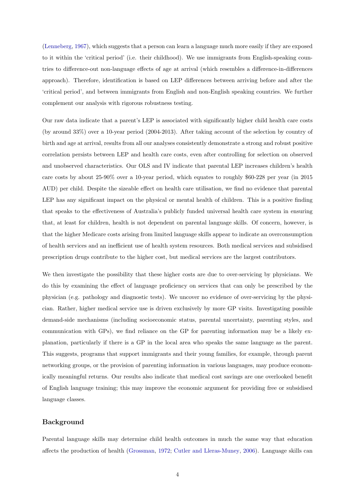[\(Lenneberg,](#page-27-4) [1967\)](#page-27-4), which suggests that a person can learn a language much more easily if they are exposed to it within the 'critical period' (i.e. their childhood). We use immigrants from English-speaking countries to difference-out non-language effects of age at arrival (which resembles a difference-in-differences approach). Therefore, identification is based on LEP differences between arriving before and after the 'critical period', and between immigrants from English and non-English speaking countries. We further complement our analysis with rigorous robustness testing.

Our raw data indicate that a parent's LEP is associated with significantly higher child health care costs (by around 33%) over a 10-year period (2004-2013). After taking account of the selection by country of birth and age at arrival, results from all our analyses consistently demonstrate a strong and robust positive correlation persists between LEP and health care costs, even after controlling for selection on observed and unobserved characteristics. Our OLS and IV indicate that parental LEP increases children's health care costs by about 25-90% over a 10-year period, which equates to roughly \$60-228 per year (in 2015 AUD) per child. Despite the sizeable effect on health care utilisation, we find no evidence that parental LEP has any significant impact on the physical or mental health of children. This is a positive finding that speaks to the effectiveness of Australia's publicly funded universal health care system in ensuring that, at least for children, health is not dependent on parental language skills. Of concern, however, is that the higher Medicare costs arising from limited language skills appear to indicate an overconsumption of health services and an inefficient use of health system resources. Both medical services and subsidised prescription drugs contribute to the higher cost, but medical services are the largest contributors.

We then investigate the possibility that these higher costs are due to over-servicing by physicians. We do this by examining the effect of language proficiency on services that can only be prescribed by the physician (e.g. pathology and diagnostic tests). We uncover no evidence of over-servicing by the physician. Rather, higher medical service use is driven exclusively by more GP visits. Investigating possible demand-side mechanisms (including socioeconomic status, parental uncertainty, parenting styles, and communication with GPs), we find reliance on the GP for parenting information may be a likely explanation, particularly if there is a GP in the local area who speaks the same language as the parent. This suggests, programs that support immigrants and their young families, for example, through parent networking groups, or the provision of parenting information in various languages, may produce economically meaningful returns. Our results also indicate that medical cost savings are one overlooked benefit of English language training; this may improve the economic argument for providing free or subsidised language classes.

#### Background

Parental language skills may determine child health outcomes in much the same way that education affects the production of health [\(Grossman,](#page-26-5) [1972;](#page-26-5) [Cutler and Lleras-Muney,](#page-26-6) [2006\)](#page-26-6). Language skills can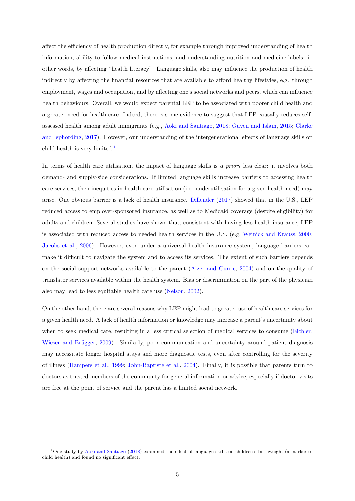affect the efficiency of health production directly, for example through improved understanding of health information, ability to follow medical instructions, and understanding nutrition and medicine labels: in other words, by affecting "health literacy". Language skills, also may influence the production of health indirectly by affecting the financial resources that are available to afford healthy lifestyles, e.g. through employment, wages and occupation, and by affecting one's social networks and peers, which can influence health behaviours. Overall, we would expect parental LEP to be associated with poorer child health and a greater need for health care. Indeed, there is some evidence to suggest that LEP causally reduces selfassessed health among adult immigrants (e.g., [Aoki and Santiago,](#page-25-11) [2018;](#page-25-11) [Guven and Islam,](#page-26-1) [2015;](#page-26-1) [Clarke](#page-25-12) [and Isphording,](#page-25-12) [2017\)](#page-25-12). However, our understanding of the intergenerational effects of language skills on child health is very limited.<sup>[1](#page-4-0)</sup>

In terms of health care utilisation, the impact of language skills is a priori less clear: it involves both demand- and supply-side considerations. If limited language skills increase barriers to accessing health care services, then inequities in health care utilisation (i.e. underutilisation for a given health need) may arise. One obvious barrier is a lack of health insurance. [Dillender](#page-26-4) [\(2017\)](#page-26-4) showed that in the U.S., LEP reduced access to employer-sponsored insurance, as well as to Medicaid coverage (despite eligibility) for adults and children. Several studies have shown that, consistent with having less health insurance, LEP is associated with reduced access to needed health services in the U.S. (e.g. [Weinick and Krauss,](#page-27-5) [2000;](#page-27-5) [Jacobs et al.,](#page-26-7) [2006\)](#page-26-7). However, even under a universal health insurance system, language barriers can make it difficult to navigate the system and to access its services. The extent of such barriers depends on the social support networks available to the parent [\(Aizer and Currie,](#page-25-13) [2004\)](#page-25-13) and on the quality of translator services available within the health system. Bias or discrimination on the part of the physician also may lead to less equitable health care use [\(Nelson,](#page-27-6) [2002\)](#page-27-6).

On the other hand, there are several reasons why LEP might lead to greater use of health care services for a given health need. A lack of health information or knowledge may increase a parent's uncertainty about when to seek medical care, resulting in a less critical selection of medical services to consume [\(Eichler,](#page-26-8) Wieser and Brügger, [2009\)](#page-26-8). Similarly, poor communication and uncertainty around patient diagnosis may necessitate longer hospital stays and more diagnostic tests, even after controlling for the severity of illness [\(Hampers et al.,](#page-26-9) [1999;](#page-26-9) [John-Baptiste et al.,](#page-26-10) [2004\)](#page-26-10). Finally, it is possible that parents turn to doctors as trusted members of the community for general information or advice, especially if doctor visits are free at the point of service and the parent has a limited social network.

<span id="page-4-0"></span><sup>&</sup>lt;sup>1</sup>One study by [Aoki and Santiago](#page-25-11) [\(2018\)](#page-25-11) examined the effect of language skills on children's birthweight (a marker of child health) and found no significant effect.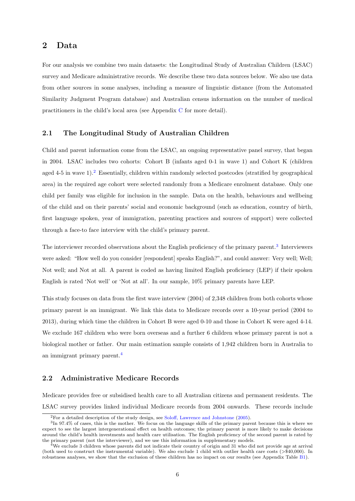## 2 Data

For our analysis we combine two main datasets: the Longitudinal Study of Australian Children (LSAC) survey and Medicare administrative records. We describe these two data sources below. We also use data from other sources in some analyses, including a measure of linguistic distance (from the Automated Similarity Judgment Program database) and Australian census information on the number of medical practitioners in the child's local area (see Appendix [C](#page-41-0) for more detail).

#### 2.1 The Longitudinal Study of Australian Children

Child and parent information come from the LSAC, an ongoing representative panel survey, that began in 2004. LSAC includes two cohorts: Cohort B (infants aged 0-1 in wave 1) and Cohort K (children aged  $4-5$  in wave  $1$ ).<sup>[2](#page-5-0)</sup> Essentially, children within randomly selected postcodes (stratified by geographical area) in the required age cohort were selected randomly from a Medicare enrolment database. Only one child per family was eligible for inclusion in the sample. Data on the health, behaviours and wellbeing of the child and on their parents' social and economic background (such as education, country of birth, first language spoken, year of immigration, parenting practices and sources of support) were collected through a face-to face interview with the child's primary parent.

The interviewer recorded observations about the English proficiency of the primary parent.<sup>[3](#page-5-1)</sup> Interviewers were asked: "How well do you consider [respondent] speaks English?", and could answer: Very well; Well; Not well; and Not at all. A parent is coded as having limited English proficiency (LEP) if their spoken English is rated 'Not well' or 'Not at all'. In our sample, 10% primary parents have LEP.

This study focuses on data from the first wave interview (2004) of 2,348 children from both cohorts whose primary parent is an immigrant. We link this data to Medicare records over a 10-year period (2004 to 2013), during which time the children in Cohort B were aged 0-10 and those in Cohort K were aged 4-14. We exclude 167 children who were born overseas and a further 6 children whose primary parent is not a biological mother or father. Our main estimation sample consists of 1,942 children born in Australia to an immigrant primary parent.[4](#page-5-2)

### 2.2 Administrative Medicare Records

Medicare provides free or subsidised health care to all Australian citizens and permanent residents. The LSAC survey provides linked individual Medicare records from 2004 onwards. These records include

<span id="page-5-1"></span><span id="page-5-0"></span><sup>2</sup>For a detailed description of the study design, see [Soloff, Lawrence and Johnstone](#page-27-7) [\(2005\)](#page-27-7).

<sup>3</sup> In 97.4% of cases, this is the mother. We focus on the language skills of the primary parent because this is where we expect to see the largest intergenerational effect on health outcomes; the primary parent is more likely to make decisions around the child's health investments and health care utilisation. The English proficiency of the second parent is rated by the primary parent (not the interviewer), and we use this information in supplementary models.

<span id="page-5-2"></span><sup>&</sup>lt;sup>4</sup>We exclude 3 children whose parents did not indicate their country of origin and 31 who did not provide age at arrival (both used to construct the instrumental variable). We also exclude 1 child with outlier health care costs (>\$40,000). In robustness analyses, we show that the exclusion of these children has no impact on our results (see Appendix Table [B1\)](#page-36-0).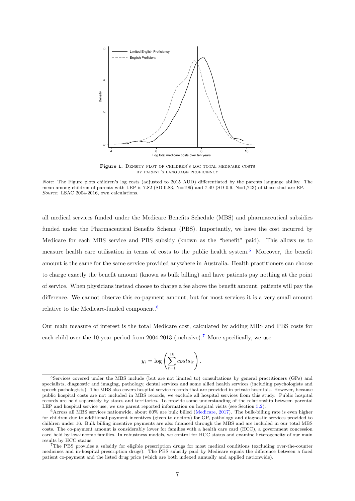<span id="page-6-3"></span>

Figure 1: DENSITY PLOT OF CHILDREN'S LOG TOTAL MEDICARE COSTS by parent's language proficiency

Note: The Figure plots children's log costs (adjusted to 2015 AUD) differentiated by the parents language ability. The mean among children of parents with LEP is 7.82 (SD 0.83, N=199) and 7.49 (SD 0.9, N=1,743) of those that are EP. Source: LSAC 2004-2016, own calculations.

all medical services funded under the Medicare Benefits Schedule (MBS) and pharmaceutical subsidies funded under the Pharmaceutical Benefits Scheme (PBS). Importantly, we have the cost incurred by Medicare for each MBS service and PBS subsidy (known as the "benefit" paid). This allows us to measure health care utilisation in terms of costs to the public health system.[5](#page-6-0) Moreover, the benefit amount is the same for the same service provided anywhere in Australia. Health practitioners can choose to charge exactly the benefit amount (known as bulk billing) and have patients pay nothing at the point of service. When physicians instead choose to charge a fee above the benefit amount, patients will pay the difference. We cannot observe this co-payment amount, but for most services it is a very small amount relative to the Medicare-funded component.[6](#page-6-1)

Our main measure of interest is the total Medicare cost, calculated by adding MBS and PBS costs for each child over the 10-year period from 2004-2013 (inclusive).[7](#page-6-2) More specifically, we use

$$
y_i = \log \left( \sum_{t=1}^{10} costs_{it} \right).
$$

<span id="page-6-0"></span><sup>5</sup>Services covered under the MBS include (but are not limited to) consultations by general practitioners (GPs) and specialists, diagnostic and imaging, pathology, dental services and some allied health services (including psychologists and speech pathologists). The MBS also covers hospital service records that are provided in private hospitals. However, because public hospital costs are not included in MBS records, we exclude all hospital services from this study. Public hospital records are held separately by states and territories. To provide some understanding of the relationship between parental LEP and hospital service use, we use parent reported information on hospital visits (see Section [5.2\)](#page-17-0).

<span id="page-6-1"></span> $6$ Across all MBS services nationwide, about 80% are bulk billed [\(Medicare,](#page-27-8) [2017\)](#page-27-8). The bulk-billing rate is even higher for children due to additional payment incentives (given to doctors) for GP, pathology and diagnostic services provided to children under 16. Bulk billing incentive payments are also financed through the MBS and are included in our total MBS costs. The co-payment amount is considerably lower for families with a health care card (HCC), a government concession card held by low-income families. In robustness models, we control for HCC status and examine heterogeneity of our main results by HCC status.

<span id="page-6-2"></span><sup>7</sup>The PBS provides a subsidy for eligible prescription drugs for most medical conditions (excluding over-the-counter medicines and in-hospital prescription drugs). The PBS subsidy paid by Medicare equals the difference between a fixed patient co-payment and the listed drug price (which are both indexed annually and applied nationwide).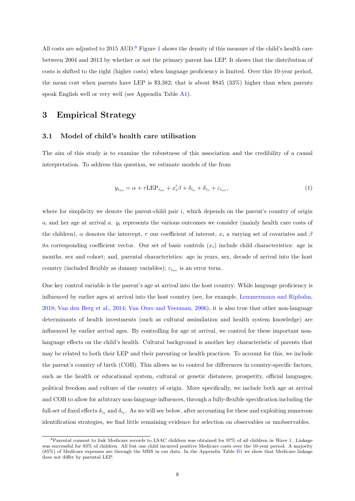All costs are adjusted to 2015 AUD.<sup>[8](#page-7-0)</sup> Figure [1](#page-6-3) shows the density of this measure of the child's health care between 2004 and 2013 by whether or not the primary parent has LEP. It shows that the distribution of costs is shifted to the right (higher costs) when language proficiency is limited. Over this 10-year period, the mean cost when parents have LEP is \$3,382; that is about \$845 (33%) higher than when parents speak English well or very well (see Appendix Table [A1\)](#page-29-0).

## 3 Empirical Strategy

#### 3.1 Model of child's health care utilisation

The aim of this study is to examine the robustness of this association and the credibility of a causal interpretation. To address this question, we estimate models of the from

<span id="page-7-1"></span>
$$
y_{i_{ao}} = \alpha + \tau \mathcal{L} \mathcal{E} \mathcal{P}_{i_{ao}} + x_i' \beta + \delta_{i_a} + \delta_{i_o} + \varepsilon_{i_{ao}},\tag{1}
$$

where for simplicity we denote the parent-child pair  $i$ , which depends on the parent's country of origin  $o$ , and her age at arrival  $a$ .  $y_i$  represents the various outcomes we consider (mainly health care costs of the children),  $\alpha$  denotes the intercept,  $\tau$  our coefficient of interest,  $x_i$  a varying set of covariates and  $\beta$ its corresponding coefficient vector. Our set of basic controls  $(x_i)$  include child characteristics: age in months, sex and cohort; and, parental characteristics: age in years, sex, decade of arrival into the host country (included flexibly as dummy variables);  $\varepsilon_{i_{ao}}$  is an error term.

One key control variable is the parent's age at arrival into the host country. While language proficiency is influenced by earlier ages at arrival into the host country (see, for example, [Lemmermann and Riphahn,](#page-27-9) [2018;](#page-27-9) [Van den Berg et al.,](#page-27-10) [2014;](#page-27-10) [Van Ours and Veenman,](#page-27-11) [2006\)](#page-27-11), it is also true that other non-language determinants of health investments (such as cultural assimilation and health system knowledge) are influenced by earlier arrival ages. By controlling for age at arrival, we control for these important nonlanguage effects on the child's health. Cultural background is another key characteristic of parents that may be related to both their LEP and their parenting or health practices. To account for this, we include the parent's country of birth (COB). This allows us to control for differences in country-specific factors, such as the health or educational system, cultural or genetic distances, prosperity, official languages, political freedom and culture of the country of origin. More specifically, we include both age at arrival and COB to allow for arbitrary non-language influences, through a fully-flexible specification including the full-set of fixed effects  $\delta_{i_a}$  and  $\delta_{i_b}$ . As we will see below, after accounting for these and exploiting numerous identification strategies, we find little remaining evidence for selection on observables or unobservables.

<span id="page-7-0"></span><sup>8</sup>Parental consent to link Medicare records to LSAC children was obtained for 97% of all children in Wave 1. Linkage was successful for 93% of children. All but one child incurred positive Medicare costs over the 10-year period. A majority (85%) of Medicare expenses are through the MBS in our data. In the Appendix Table [B1](#page-36-0) we show that Medicare linkage does not differ by parental LEP.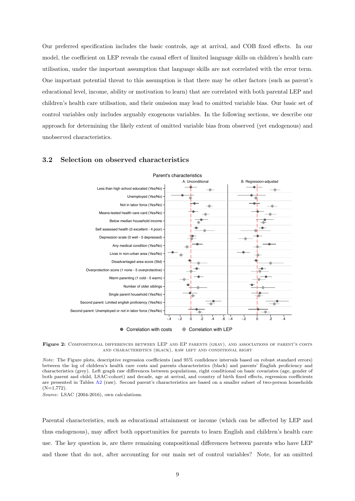Our preferred specification includes the basic controls, age at arrival, and COB fixed effects. In our model, the coefficient on LEP reveals the causal effect of limited language skills on children's health care utilisation, under the important assumption that language skills are not correlated with the error term. One important potential threat to this assumption is that there may be other factors (such as parent's educational level, income, ability or motivation to learn) that are correlated with both parental LEP and children's health care utilisation, and their omission may lead to omitted variable bias. Our basic set of control variables only includes arguably exogenous variables. In the following sections, we describe our approach for determining the likely extent of omitted variable bias from observed (yet endogenous) and unobserved characteristics.



#### <span id="page-8-0"></span>3.2 Selection on observed characteristics

Figure 2: COMPOSITIONAL DIFFERENCES BETWEEN LEP AND EP PARENTS (GRAY), AND ASSOCIATIONS OF PARENT'S COSTS and characteristics (black), raw left and conditional right

Note: The Figure plots, descriptive regression coefficients (and 95% confidence intervals based on robust standard errors) between the log of children's health care costs and parents characteristics (black) and parents' English proficiency and characteristics (grey). Left graph raw differences between populations, right conditional on basic covariates (age, gender of both parent and child, LSAC-cohort) and decade, age at arrival, and country of birth fixed effects, regression coefficients are presented in Tables [A2](#page-30-0) (raw). Second parent's characteristics are based on a smaller subset of two-person households  $(N=1.772)$ .

Source: LSAC (2004-2016), own calculations.

Parental characteristics, such as educational attainment or income (which can be affected by LEP and thus endogenous), may affect both opportunities for parents to learn English and children's health care use. The key question is, are there remaining compositional differences between parents who have LEP and those that do not, after accounting for our main set of control variables? Note, for an omitted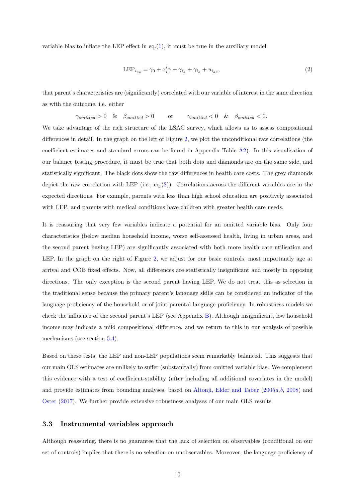variable bias to inflate the LEP effect in eq. $(1)$ , it must be true in the auxiliary model:

<span id="page-9-0"></span>
$$
LEP_{i_{ao}} = \gamma_0 + x_i' \gamma + \gamma_{i_a} + \gamma_{i_b} + u_{i_{ao}},
$$
\n
$$
(2)
$$

that parent's characteristics are (significantly) correlated with our variable of interest in the same direction as with the outcome, i.e. either

$$
\gamma_{omitted} > 0 \quad \& \quad \beta_{omitted} > 0 \qquad \text{or} \qquad \gamma_{omitted} < 0 \quad \& \quad \beta_{omitted} < 0.
$$

We take advantage of the rich structure of the LSAC survey, which allows us to assess compositional differences in detail. In the graph on the left of Figure [2,](#page-8-0) we plot the unconditional raw correlations (the coefficient estimates and standard errors can be found in Appendix Table [A2\)](#page-30-0). In this visualisation of our balance testing procedure, it must be true that both dots and diamonds are on the same side, and statistically significant. The black dots show the raw differences in health care costs. The grey diamonds depict the raw correlation with LEP (i.e., eq.[\(2\)](#page-9-0)). Correlations across the different variables are in the expected directions. For example, parents with less than high school education are positively associated with LEP, and parents with medical conditions have children with greater health care needs.

It is reassuring that very few variables indicate a potential for an omitted variable bias. Only four characteristics (below median household income, worse self-assessed health, living in urban areas, and the second parent having LEP) are significantly associated with both more health care utilisation and LEP. In the graph on the right of Figure [2,](#page-8-0) we adjust for our basic controls, most importantly age at arrival and COB fixed effects. Now, all differences are statistically insignificant and mostly in opposing directions. The only exception is the second parent having LEP. We do not treat this as selection in the traditional sense because the primary parent's language skills can be considered an indicator of the language proficiency of the household or of joint parental language proficiency. In robustness models we check the influence of the second parent's LEP (see Appendix [B\)](#page-34-0). Although insignificant, low household income may indicate a mild compositional difference, and we return to this in our analysis of possible mechanisms (see section [5.4\)](#page-20-0).

Based on these tests, the LEP and non-LEP populations seem remarkably balanced. This suggests that our main OLS estimates are unlikely to suffer (substanitally) from omitted variable bias. We complement this evidence with a test of coefficient-stability (after including all additional covariates in the model) and provide estimates from bounding analyses, based on [Altonji, Elder and Taber](#page-25-10) [\(2005](#page-25-10) $a, b$  $a, b$ , [2008\)](#page-25-8) and [Oster](#page-27-3) [\(2017\)](#page-27-3). We further provide extensive robustness analyses of our main OLS results.

#### 3.3 Instrumental variables approach

Although reassuring, there is no guarantee that the lack of selection on observables (conditional on our set of controls) implies that there is no selection on unobservables. Moreover, the language proficiency of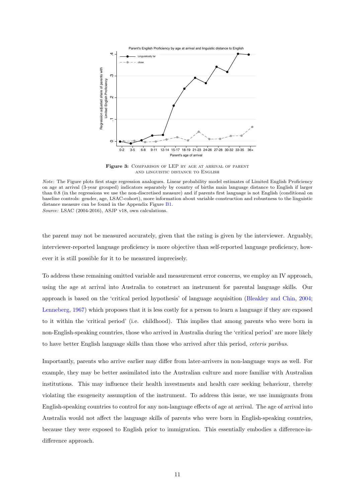<span id="page-10-0"></span>

Figure 3: COMPARISON OF LEP BY AGE AT ARRIVAL OF PARENT and linguistic distance to English

Source: LSAC (2004-2016), ASJP v18, own calculations.

the parent may not be measured accurately, given that the rating is given by the interviewer. Arguably, interviewer-reported language proficiency is more objective than self-reported language proficiency, however it is still possible for it to be measured imprecisely.

To address these remaining omitted variable and measurement error concerns, we employ an IV approach, using the age at arrival into Australia to construct an instrument for parental language skills. Our approach is based on the 'critical period hypothesis' of language acquisition [\(Bleakley and Chin,](#page-25-6) [2004;](#page-25-6) [Lenneberg,](#page-27-4) [1967\)](#page-27-4) which proposes that it is less costly for a person to learn a language if they are exposed to it within the 'critical period' (i.e. childhood). This implies that among parents who were born in non-English-speaking countries, those who arrived in Australia during the 'critical period' are more likely to have better English language skills than those who arrived after this period, ceteris paribus.

Importantly, parents who arrive earlier may differ from later-arrivers in non-language ways as well. For example, they may be better assimilated into the Australian culture and more familiar with Australian institutions. This may influence their health investments and health care seeking behaviour, thereby violating the exogeneity assumption of the instrument. To address this issue, we use immigrants from English-speaking countries to control for any non-language effects of age at arrival. The age of arrival into Australia would not affect the language skills of parents who were born in English-speaking countries, because they were exposed to English prior to immigration. This essentially embodies a difference-indifference approach.

Note: The Figure plots first stage regression analogues. Linear probability model estimates of Limited English Proficiency on age at arrival (3-year grouped) indicators separately by country of births main language distance to English if larger than 0.8 (in the regressions we use the non-discretised measure) and if parents first language is not English (conditional on baseline controls: gender, age, LSAC-cohort), more information about variable construction and robustness to the linguistic distance measure can be found in the Appendix Figure [B1.](#page-38-0)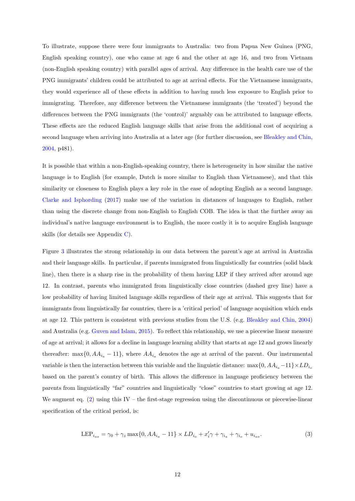To illustrate, suppose there were four immigrants to Australia: two from Papua New Guinea (PNG, English speaking country), one who came at age 6 and the other at age 16, and two from Vietnam (non-English speaking country) with parallel ages of arrival. Any difference in the health care use of the PNG immigrants' children could be attributed to age at arrival effects. For the Vietnamese immigrants, they would experience all of these effects in addition to having much less exposure to English prior to immigrating. Therefore, any difference between the Vietnamese immigrants (the 'treated') beyond the differences between the PNG immigrants (the 'control)' arguably can be attributed to language effects. These effects are the reduced English language skills that arise from the additional cost of acquiring a second language when arriving into Australia at a later age (for further discussion, see [Bleakley and Chin,](#page-25-6) [2004,](#page-25-6) p481).

It is possible that within a non-English-speaking country, there is heterogeneity in how similar the native language is to English (for example, Dutch is more similar to English than Vietnamese), and that this similarity or closeness to English plays a key role in the ease of adopting English as a second language. [Clarke and Isphording](#page-25-12) [\(2017\)](#page-25-12) make use of the variation in distances of languages to English, rather than using the discrete change from non-English to English COB. The idea is that the further away an individual's native language environment is to English, the more costly it is to acquire English language skills (for details see Appendix [C\)](#page-41-0).

Figure [3](#page-10-0) illustrates the strong relationship in our data between the parent's age at arrival in Australia and their language skills. In particular, if parents immigrated from linguistically far countries (solid black line), then there is a sharp rise in the probability of them having LEP if they arrived after around age 12. In contrast, parents who immigrated from linguistically close countries (dashed grey line) have a low probability of having limited language skills regardless of their age at arrival. This suggests that for immigrants from linguistically far countries, there is a 'critical period' of language acquisition which ends at age 12. This pattern is consistent with previous studies from the U.S. (e.g. [Bleakley and Chin,](#page-25-6) [2004\)](#page-25-6) and Australia (e.g. [Guven and Islam,](#page-26-1) [2015\)](#page-26-1). To reflect this relationship, we use a piecewise linear measure of age at arrival; it allows for a decline in language learning ability that starts at age 12 and grows linearly thereafter: max $\{0, AA_{i_a} - 11\}$ , where  $AA_{i_a}$  denotes the age at arrival of the parent. Our instrumental variable is then the interaction between this variable and the linguistic distance: max $\{0, AA_{i_a}-11\} \times LD_{i_a}$ based on the parent's country of birth. This allows the difference in language proficiency between the parents from linguistically "far" countries and linguistically "close" countries to start growing at age 12. We augment eq.  $(2)$  using this IV – the first-stage regression using the discontinuous or piecewise-linear specification of the critical period, is:

$$
LEP_{i_{ao}} = \gamma_0 + \gamma_z \max\{0, AA_{i_a} - 11\} \times LD_{i_o} + x_i' \gamma + \gamma_{i_a} + \gamma_{i_o} + u_{i_{ao}}.\tag{3}
$$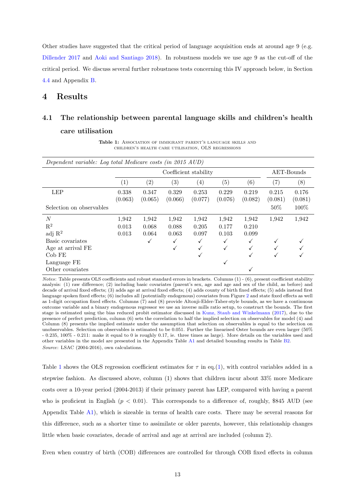Other studies have suggested that the critical period of language acquisition ends at around age 9 (e.g. [Dillender](#page-26-4) [2017](#page-26-4) and [Aoki and Santiago](#page-25-11) [2018\)](#page-25-11). In robustness models we use age 9 as the cut-off of the critical period. We discuss several further robustness tests concerning this IV approach below, in Section [4.4](#page-16-0) and Appendix [B.](#page-34-0)

## 4 Results

# <span id="page-12-0"></span>4.1 The relationship between parental language skills and children's health care utilisation

Table 1: ASSOCIATION OF IMMIGRANT PARENT'S LANGUAGE SKILLS AND children's health care utilisation, OLS regressions

| Dependent variable: Log total Medicare costs (in 2015 AUD) |         |         |                       |         |                   |              |         |            |
|------------------------------------------------------------|---------|---------|-----------------------|---------|-------------------|--------------|---------|------------|
|                                                            |         |         | Coefficient stability |         |                   |              |         | AET-Bounds |
|                                                            | (1)     | (2)     | $\left( 3\right)$     | (4)     | $\left( 5\right)$ | (6)          | (7)     | (8)        |
| <b>LEP</b>                                                 | 0.338   | 0.347   | 0.329                 | 0.253   | 0.229             | 0.219        | 0.215   | 0.176      |
|                                                            | (0.063) | (0.065) | (0.066)               | (0.077) | (0.076)           | (0.082)      | (0.081) | (0.081)    |
| Selection on observables                                   |         |         |                       |         |                   |              | $50\%$  | 100%       |
| $\overline{N}$                                             | 1,942   | 1,942   | 1,942                 | 1,942   | 1,942             | 1,942        | 1,942   | 1,942      |
| $\mathbf{R}^2$                                             | 0.013   | 0.068   | 0.088                 | 0.205   | 0.177             | 0.210        |         |            |
| adj $\mathbb{R}^2$                                         | 0.013   | 0.064   | 0.063                 | 0.097   | 0.103             | 0.099        |         |            |
| Basic covariates                                           |         |         | ✓                     |         | √                 | $\checkmark$ |         |            |
| Age at arrival FE                                          |         |         | ✓                     |         | √                 |              |         |            |
| $Cob$ FE                                                   |         |         |                       | √       |                   | √            |         |            |
| Language FE                                                |         |         |                       |         | √                 |              |         |            |
| Other covariates                                           |         |         |                       |         |                   |              |         |            |

Notes: Table presents OLS coefficients and robust standard errors in brackets. Columns (1) - (6), present coefficient stability analysis: (1) raw difference; (2) including basic covariates (parent's sex, age and age and sex of the child, as before) and decade of arrival fixed effects; (3) adds age at arrival fixed effects; (4) adds county of birth fixed effects; (5) adds instead first language spoken fixed effects; (6) includes all (potentially endogenous) covariates from Figure [2](#page-8-0) and state fixed effects as well as 1-digit occupation fixed effects. Columns (7) and (8) provide Altonji-Elder-Taber-style bounds, as we have a continuous outcome variable and a binary endogenous regressor we use an inverse mills ratio setup, to construct the bounds. The first stage is estimated using the bias reduced probit estimator discussed in [Kunz, Staub and Winkelmann](#page-26-11) [\(2017\)](#page-26-11), due to the presence of perfect prediction, column (6) sets the correlation to half the implied selection on observables for model (4) and Column (8) presents the implied estimate under the assumption that selection on observables is equal to the selection on unobservables. Selection on observables is estimated to be 0.051. Further the linearised Oster bounds are even larger (50% - 0.235, 100% - 0.211: make it equal to 0 is roughly 0.17, ie. three times as large). More details on the variables used and other variables in the model are presented in the Appendix Table [A1](#page-29-0) and detailed bounding results in Table [B2.](#page-37-0) Source: LSAC (2004-2016), own calculations.

Table [1](#page-12-0) shows the OLS regression coefficient estimates for  $\tau$  in eq.[\(1\)](#page-7-1), with control variables added in a stepwise fashion. As discussed above, column (1) shows that children incur about 33% more Medicare costs over a 10-year period (2004-2013) if their primary parent has LEP, compared with having a parent who is proficient in English  $(p < 0.01)$ . This corresponds to a difference of, roughly, \$845 AUD (see Appendix Table [A1\)](#page-29-0), which is sizeable in terms of health care costs. There may be several reasons for this difference, such as a shorter time to assimilate or older parents, however, this relationship changes little when basic covariates, decade of arrival and age at arrival are included (column 2).

Even when country of birth (COB) differences are controlled for through COB fixed effects in column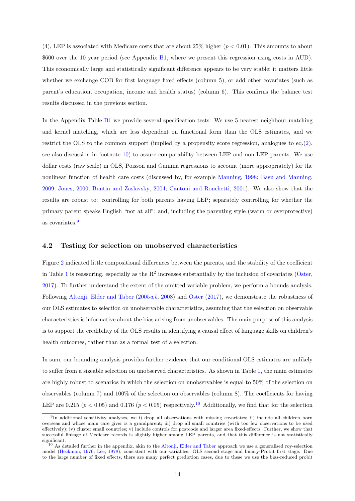(4), LEP is associated with Medicare costs that are about  $25\%$  higher ( $p < 0.01$ ). This amounts to about \$600 over the 10 year period (see Appendix [B1,](#page-36-0) where we present this regression using costs in AUD). This economically large and statistically significant difference appears to be very stable; it matters little whether we exchange COB for first language fixed effects (column 5), or add other covariates (such as parent's education, occupation, income and health status) (column 6). This confirms the balance test results discussed in the previous section.

In the Appendix Table [B1](#page-36-0) we provide several specification tests. We use 5 nearest neighbour matching and kernel matching, which are less dependent on functional form than the OLS estimates, and we restrict the OLS to the common support (implied by a propensity score regression, analogues to eq.[\(2\)](#page-9-0), see also discussion in footnote [10\)](#page-13-0) to assure comparability between LEP and non-LEP parents. We use dollar costs (raw scale) in OLS, Poisson and Gamma regressions to account (more appropriately) for the nonlinear function of health care costs (discussed by, for example [Manning,](#page-27-12) [1998;](#page-27-12) [Basu and Manning,](#page-25-14) [2009;](#page-25-14) [Jones,](#page-26-12) [2000;](#page-26-12) [Buntin and Zaslavsky,](#page-25-15) [2004;](#page-25-15) [Cantoni and Ronchetti,](#page-25-16) [2001\)](#page-25-16). We also show that the results are robust to: controlling for both parents having LEP; separately controlling for whether the primary parent speaks English "not at all"; and, including the parenting style (warm or overprotective) as covariates.<sup>[9](#page-13-1)</sup>

#### 4.2 Testing for selection on unobserved characteristics

Figure [2](#page-8-0) indicated little compositional differences between the parents, and the stability of the coefficient in Table [1](#page-12-0) is reassuring, especially as the  $R^2$  increases substantially by the inclusion of covariates [\(Oster,](#page-27-3) [2017\)](#page-27-3). To further understand the extent of the omitted variable problem, we perform a bounds analysis. Following [Altonji, Elder and Taber](#page-25-10) [\(2005](#page-25-10)a,[b](#page-25-9), [2008\)](#page-25-8) and [Oster](#page-27-3) [\(2017\)](#page-27-3), we demonstrate the robustness of our OLS estimates to selection on unobservable characteristics, assuming that the selection on observable characteristics is informative about the bias arising from unobservables. The main purpose of this analysis is to support the credibility of the OLS results in identifying a causal effect of language skills on children's health outcomes, rather than as a formal test of a selection.

In sum, our bounding analysis provides further evidence that our conditional OLS estimates are unlikely to suffer from a sizeable selection on unobserved characteristics. As shown in Table [1,](#page-12-0) the main estimates are highly robust to scenarios in which the selection on unobservables is equal to 50% of the selection on observables (column 7) and 100% of the selection on observables (column 8). The coefficients for having LEP are 0.215 ( $p < 0.05$ ) and 0.176 ( $p < 0.05$ ) respectively.<sup>[10](#page-13-0)</sup> Additionally, we find that for the selection

<span id="page-13-1"></span><sup>&</sup>lt;sup>9</sup>In additional sensitivity analyses, we i) drop all observations with missing covariates; ii) include all children born overseas and whose main care giver is a grandparent; iii) drop all small countries (with too few observations to be used effectively); iv) cluster small countries; v) include controls for postcode and larger area fixed-effects. Further, we show that successful linkage of Medicare records is slightly higher among LEP parents, and that this difference is not statistically significant.

<span id="page-13-0"></span><sup>&</sup>lt;sup>10</sup> As detailed further in the appendix, akin to the [Altonji, Elder and Taber](#page-25-10) approach we use a generalised roy-selection model [\(Heckman,](#page-26-13) [1976;](#page-26-13) [Lee,](#page-26-14) [1978\)](#page-26-14), consistent with our variables: OLS second stage and binary-Probit first stage. Due to the large number of fixed effects, there are many perfect prediction cases, due to these we use the bias-reduced probit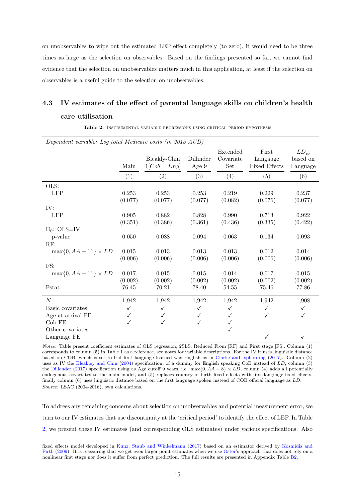on unobservables to wipe out the estimated LEP effect completely (to zero), it would need to be three times as large as the selection on observables. Based on the findings presented so far, we cannot find evidence that the selection on unobservables matters much in this application, at least if the selection on observables is a useful guide to the selection on unobservables.

# 4.3 IV estimates of the effect of parental language skills on children's health care utilisation

<span id="page-14-0"></span>

| Dependent variable: Log total Medicare costs (in 2015 AUD) |           |                              |                    |                              |                                           |                                   |
|------------------------------------------------------------|-----------|------------------------------|--------------------|------------------------------|-------------------------------------------|-----------------------------------|
|                                                            | Main      | Bleakly-Chin<br>$1[Cob=Eng]$ | Dillinder<br>Age 9 | Extended<br>Covariate<br>Set | First<br>Langauge<br><b>Fixed Effects</b> | $LD_{io}$<br>based on<br>Language |
|                                                            | (1)       | (2)                          | (3)                | (4)                          | (5)                                       | (6)                               |
| OLS:                                                       |           |                              |                    |                              |                                           |                                   |
| <b>LEP</b>                                                 | 0.253     | 0.253                        | 0.253              | 0.219                        | 0.229                                     | 0.237                             |
|                                                            | (0.077)   | (0.077)                      | (0.077)            | (0.082)                      | (0.076)                                   | (0.077)                           |
| IV:                                                        |           |                              |                    |                              |                                           |                                   |
| <b>LEP</b>                                                 | 0.905     | 0.882                        | 0.828              | 0.990                        | 0.713                                     | 0.922                             |
|                                                            | (0.351)   | (0.386)                      | (0.361)            | (0.436)                      | (0.335)                                   | (0.422)                           |
| $H_0$ : OLS=IV                                             |           |                              |                    |                              |                                           |                                   |
| p-value                                                    | $0.050\,$ | 0.088                        | $\,0.094\,$        | 0.063                        | 0.134                                     | 0.093                             |
| RF:                                                        |           |                              |                    |                              |                                           |                                   |
| $\max\{0, AA-11\} \times LD$                               | $0.015\,$ | 0.013                        | $0.013\,$          | 0.013                        | 0.012                                     | 0.014                             |
|                                                            | (0.006)   | (0.006)                      | (0.006)            | (0.006)                      | (0.006)                                   | (0.006)                           |
| FS:                                                        |           |                              |                    |                              |                                           |                                   |
| $\max\{0, AA-11\} \times LD$                               | $0.017\,$ | $0.015\,$                    | $0.015\,$          | 0.014                        | $0.017\,$                                 | 0.015                             |
|                                                            | (0.002)   | (0.002)                      | (0.002)            | (0.002)                      | (0.002)                                   | (0.002)                           |
| Fstat                                                      | 76.45     | 70.21                        | 78.40              | $54.55\,$                    | 75.46                                     | 77.86                             |
| $\boldsymbol{N}$                                           | 1,942     | 1,942                        | 1,942              | 1,942                        | 1,942                                     | 1,908                             |
| Basic covariates                                           | ✓         | $\checkmark$                 | ✓                  | $\checkmark$                 | ✓                                         | $\checkmark$                      |
| Age at arrival FE                                          |           | $\checkmark$                 | $\checkmark$       |                              | ✓                                         | $\checkmark$                      |
| Cob FE                                                     | ✓         | $\checkmark$                 | $\checkmark$       | ✓                            |                                           |                                   |
| Other covariates                                           |           |                              |                    | ✓                            |                                           |                                   |
| Language FE                                                |           |                              |                    |                              | ✓                                         | $\checkmark$                      |

Table 2: INSTRUMENTAL VARIABLE REGRESSIONS USING CRITICAL PERIOD HYPOTHESIS

Notes: Table present coefficient estimates of OLS regression, 2SLS, Reduced From [RF] and First stage [FS]. Column (1) corresponds to column (5) in Table [1](#page-12-0) as a reference, see notes for variable descriptions. For the IV it uses linguistic distance based on COB, which is set to 0 if first language learned was English as in [Clarke and Isphording](#page-25-12) [\(2017\)](#page-25-12). Column (2) uses as IV the [Bleakley and Chin](#page-25-6) [\(2004\)](#page-25-6) specification, of a dummy for English speaking CoB instead of LD, column (3) the [Dillender](#page-26-4) [\(2017\)](#page-26-4) specification using as Age cutoff 9 years, i.e.  $\max\{0, \overline{A}A - 8\} \times \overline{LD}$ , column (4) adds all potentially endogenous covariates to the main model, and (5) replaces country of birth fixed effects with first-language fixed effects, finally column (6) uses linguistic distance based on the first language spoken instead of COB official language as LD. Source: LSAC (2004-2016), own calculations.

To address any remaining concerns about selection on unobservables and potential measurement error, we turn to our IV estimates that use discontinuity at the 'critical period' to identify the effect of LEP. In Table [2,](#page-14-0) we present these IV estimates (and corresponding OLS estimates) under various specifications. Also

fixed effects model developed in [Kunz, Staub and Winkelmann](#page-26-11) [\(2017\)](#page-26-11) based on an estimator derived by [Kosmidis and](#page-26-15) [Firth](#page-26-15) [\(2009\)](#page-26-15). It is reassuring that we get even larger point estimates when we use [Oster'](#page-27-3)s approach that does not rely on a nonlinear first stage nor does it suffer from perfect prediction. The full results are presented in Appendix Table [B2.](#page-37-0)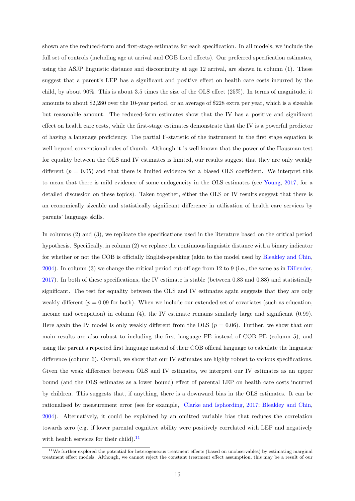shown are the reduced-form and first-stage estimates for each specification. In all models, we include the full set of controls (including age at arrival and COB fixed effects). Our preferred specification estimates, using the ASJP linguistic distance and discontinuity at age 12 arrival, are shown in column (1). These suggest that a parent's LEP has a significant and positive effect on health care costs incurred by the child, by about 90%. This is about 3.5 times the size of the OLS effect (25%). In terms of magnitude, it amounts to about \$2,280 over the 10-year period, or an average of \$228 extra per year, which is a sizeable but reasonable amount. The reduced-form estimates show that the IV has a positive and significant effect on health care costs, while the first-stage estimates demonstrate that the IV is a powerful predictor of having a language proficiency. The partial F-statistic of the instrument in the first stage equation is well beyond conventional rules of thumb. Although it is well known that the power of the Hausman test for equality between the OLS and IV estimates is limited, our results suggest that they are only weakly different  $(p = 0.05)$  and that there is limited evidence for a biased OLS coefficient. We interpret this to mean that there is mild evidence of some endogeneity in the OLS estimates (see [Young,](#page-27-13) [2017,](#page-27-13) for a detailed discussion on these topics). Taken together, either the OLS or IV results suggest that there is an economically sizeable and statistically significant difference in utilisation of health care services by parents' language skills.

In columns (2) and (3), we replicate the specifications used in the literature based on the critical period hypothesis. Specifically, in column (2) we replace the continuous linguistic distance with a binary indicator for whether or not the COB is officially English-speaking (akin to the model used by [Bleakley and Chin,](#page-25-6) [2004\)](#page-25-6). In column (3) we change the critical period cut-off age from 12 to 9 (i.e., the same as in [Dillender,](#page-26-4) [2017\)](#page-26-4). In both of these specifications, the IV estimate is stable (between 0.83 and 0.88) and statistically significant. The test for equality between the OLS and IV estimates again suggests that they are only weakly different ( $p = 0.09$  for both). When we include our extended set of covariates (such as education, income and occupation) in column (4), the IV estimate remains similarly large and significant (0.99). Here again the IV model is only weakly different from the OLS ( $p = 0.06$ ). Further, we show that our main results are also robust to including the first language FE instead of COB FE (column 5), and using the parent's reported first language instead of their COB official language to calculate the linguistic difference (column 6). Overall, we show that our IV estimates are highly robust to various specifications. Given the weak difference between OLS and IV estimates, we interpret our IV estimates as an upper bound (and the OLS estimates as a lower bound) effect of parental LEP on health care costs incurred by children. This suggests that, if anything, there is a downward bias in the OLS estimates. It can be rationalised by measurement error (see for example, [Clarke and Isphording,](#page-25-12) [2017;](#page-25-12) [Bleakley and Chin,](#page-25-6) [2004\)](#page-25-6). Alternatively, it could be explained by an omitted variable bias that reduces the correlation towards zero (e.g. if lower parental cognitive ability were positively correlated with LEP and negatively with health services for their child). $^{11}$  $^{11}$  $^{11}$ 

<span id="page-15-0"></span> $11$ We further explored the potential for heterogeneous treatment effects (based on unobservables) by estimating marginal treatment effect models. Although, we cannot reject the constant treatment effect assumption, this may be a result of our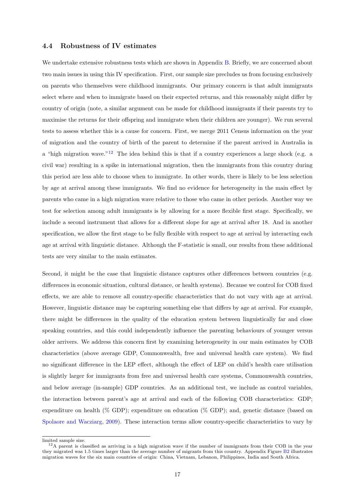## <span id="page-16-0"></span>4.4 Robustness of IV estimates

We undertake extensive robustness tests which are shown in Appendix [B.](#page-34-0) Briefly, we are concerned about two main issues in using this IV specification. First, our sample size precludes us from focusing exclusively on parents who themselves were childhood immigrants. Our primary concern is that adult immigrants select where and when to immigrate based on their expected returns, and this reasonably might differ by country of origin (note, a similar argument can be made for childhood immigrants if their parents try to maximise the returns for their offspring and immigrate when their children are younger). We run several tests to assess whether this is a cause for concern. First, we merge 2011 Census information on the year of migration and the country of birth of the parent to determine if the parent arrived in Australia in a "high migration wave."<sup>[12](#page-16-1)</sup> The idea behind this is that if a country experiences a large shock (e.g. a civil war) resulting in a spike in international migration, then the immigrants from this country during this period are less able to choose when to immigrate. In other words, there is likely to be less selection by age at arrival among these immigrants. We find no evidence for heterogeneity in the main effect by parents who came in a high migration wave relative to those who came in other periods. Another way we test for selection among adult immigrants is by allowing for a more flexible first stage. Specifically, we include a second instrument that allows for a different slope for age at arrival after 18. And in another specification, we allow the first stage to be fully flexible with respect to age at arrival by interacting each age at arrival with linguistic distance. Although the F-statistic is small, our results from these additional tests are very similar to the main estimates.

Second, it might be the case that linguistic distance captures other differences between countries (e.g. differences in economic situation, cultural distance, or health systems). Because we control for COB fixed effects, we are able to remove all country-specific characteristics that do not vary with age at arrival. However, linguistic distance may be capturing something else that differs by age at arrival. For example, there might be differences in the quality of the education system between linguistically far and close speaking countries, and this could independently influence the parenting behaviours of younger versus older arrivers. We address this concern first by examining heterogeneity in our main estimates by COB characteristics (above average GDP, Commonwealth, free and universal health care system). We find no significant difference in the LEP effect, although the effect of LEP on child's health care utilisation is slightly larger for immigrants from free and universal health care systems, Commonwealth countries, and below average (in-sample) GDP countries. As an additional test, we include as control variables, the interaction between parent's age at arrival and each of the following COB characteristics: GDP; expenditure on health (% GDP); expenditure on education (% GDP); and, genetic distance (based on [Spolaore and Wacziarg,](#page-27-14) [2009\)](#page-27-14). These interaction terms allow country-specific characteristics to vary by

limited sample size.

<span id="page-16-1"></span> $12A$  parent is classified as arriving in a high migration wave if the number of immigrants from their COB in the year they migrated was 1.5 times larger than the average number of migrants from this country. Appendix Figure [B2](#page-39-0) illustrates migration waves for the six main countries of origin: China, Vietnam, Lebanon, Philippines, India and South Africa.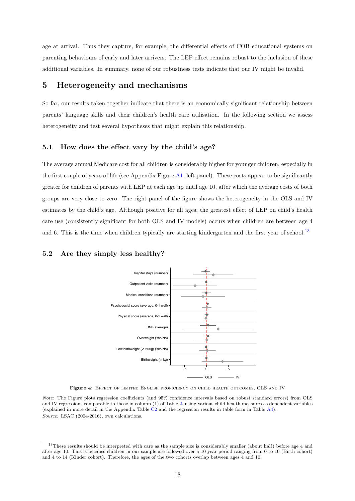age at arrival. Thus they capture, for example, the differential effects of COB educational systems on parenting behaviours of early and later arrivers. The LEP effect remains robust to the inclusion of these additional variables. In summary, none of our robustness tests indicate that our IV might be invalid.

## 5 Heterogeneity and mechanisms

So far, our results taken together indicate that there is an economically significant relationship between parents' language skills and their children's health care utilisation. In the following section we assess heterogeneity and test several hypotheses that might explain this relationship.

#### 5.1 How does the effect vary by the child's age?

The average annual Medicare cost for all children is considerably higher for younger children, especially in the first couple of years of life (see Appendix Figure [A1,](#page-33-0) left panel). These costs appear to be significantly greater for children of parents with LEP at each age up until age 10, after which the average costs of both groups are very close to zero. The right panel of the figure shows the heterogeneity in the OLS and IV estimates by the child's age. Although positive for all ages, the greatest effect of LEP on child's health care use (consistently significant for both OLS and IV models) occurs when children are between age 4 and 6. This is the time when children typically are starting kindergarten and the first year of school.<sup>[13](#page-17-1)</sup>

#### <span id="page-17-2"></span><span id="page-17-0"></span>5.2 Are they simply less healthy?



Figure 4: EFFECT OF LIMITED ENGLISH PROFICIENCY ON CHILD HEALTH OUTCOMES, OLS AND IV

Note: The Figure plots regression coefficients (and 95% confidence intervals based on robust standard errors) from OLS and IV regressions comparable to those in column (1) of Table [2,](#page-14-0) using various child health measures as dependent variables (explained in more detail in the Appendix Table [C2](#page-44-0) and the regression results in table form in Table [A4\)](#page-32-0). Source: LSAC (2004-2016), own calculations.

<span id="page-17-1"></span> $13$ These results should be interpreted with care as the sample size is considerably smaller (about half) before age 4 and after age 10. This is because children in our sample are followed over a 10 year period ranging from 0 to 10 (Birth cohort) and 4 to 14 (Kinder cohort). Therefore, the ages of the two cohorts overlap between ages 4 and 10.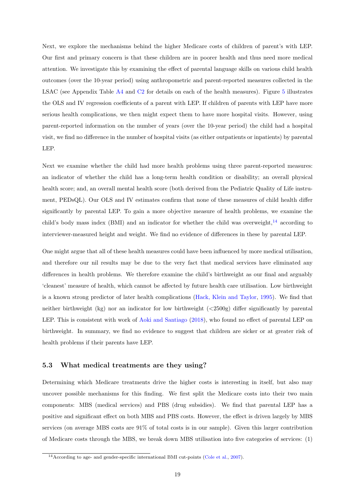Next, we explore the mechanisms behind the higher Medicare costs of children of parent's with LEP. Our first and primary concern is that these children are in poorer health and thus need more medical attention. We investigate this by examining the effect of parental language skills on various child health outcomes (over the 10-year period) using anthropometric and parent-reported measures collected in the LSAC (see Appendix Table [A4](#page-32-0) and [C2](#page-44-0) for details on each of the health measures). Figure [5](#page-19-0) illustrates the OLS and IV regression coefficients of a parent with LEP. If children of parents with LEP have more serious health complications, we then might expect them to have more hospital visits. However, using parent-reported information on the number of years (over the 10-year period) the child had a hospital visit, we find no difference in the number of hospital visits (as either outpatients or inpatients) by parental LEP.

Next we examine whether the child had more health problems using three parent-reported measures: an indicator of whether the child has a long-term health condition or disability; an overall physical health score; and, an overall mental health score (both derived from the Pediatric Quality of Life instrument, PEDsQL). Our OLS and IV estimates confirm that none of these measures of child health differ significantly by parental LEP. To gain a more objective measure of health problems, we examine the child's body mass index (BMI) and an indicator for whether the child was overweight, $14$  according to interviewer-measured height and weight. We find no evidence of differences in these by parental LEP.

One might argue that all of these health measures could have been influenced by more medical utilisation, and therefore our nil results may be due to the very fact that medical services have eliminated any differences in health problems. We therefore examine the child's birthweight as our final and arguably 'cleanest' measure of health, which cannot be affected by future health care utilisation. Low birthweight is a known strong predictor of later health complications [\(Hack, Klein and Taylor,](#page-26-16) [1995\)](#page-26-16). We find that neither birthweight (kg) nor an indicator for low birthweight (<2500g) differ significantly by parental LEP. This is consistent with work of [Aoki and Santiago](#page-25-11) [\(2018\)](#page-25-11), who found no effect of parental LEP on birthweight. In summary, we find no evidence to suggest that children are sicker or at greater risk of health problems if their parents have LEP.

#### 5.3 What medical treatments are they using?

Determining which Medicare treatments drive the higher costs is interesting in itself, but also may uncover possible mechanisms for this finding. We first split the Medicare costs into their two main components: MBS (medical services) and PBS (drug subsidies). We find that parental LEP has a positive and significant effect on both MBS and PBS costs. However, the effect is driven largely by MBS services (on average MBS costs are 91% of total costs is in our sample). Given this larger contribution of Medicare costs through the MBS, we break down MBS utilisation into five categories of services: (1)

<span id="page-18-0"></span><sup>&</sup>lt;sup>14</sup> According to age- and gender-specific international BMI cut-points [\(Cole et al.,](#page-25-17) [2007\)](#page-25-17).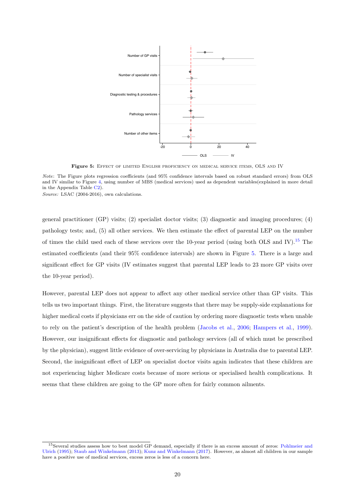<span id="page-19-0"></span>

Figure 5: EFFECT OF LIMITED ENGLISH PROFICIENCY ON MEDICAL SERVICE ITEMS, OLS AND IV

Note: The Figure plots regression coefficients (and 95% confidence intervals based on robust standard errors) from OLS and IV similar to Figure [4,](#page-17-2) using number of MBS (medical services) used as dependent variables(explained in more detail in the Appendix Table [C2\)](#page-44-0).

Source: LSAC (2004-2016), own calculations.

general practitioner (GP) visits; (2) specialist doctor visits; (3) diagnostic and imaging procedures; (4) pathology tests; and, (5) all other services. We then estimate the effect of parental LEP on the number of times the child used each of these services over the 10-year period (using both OLS and IV).<sup>[15](#page-19-1)</sup> The estimated coefficients (and their 95% confidence intervals) are shown in Figure [5.](#page-19-0) There is a large and significant effect for GP visits (IV estimates suggest that parental LEP leads to 23 more GP visits over the 10-year period).

However, parental LEP does not appear to affect any other medical service other than GP visits. This tells us two important things. First, the literature suggests that there may be supply-side explanations for higher medical costs if physicians err on the side of caution by ordering more diagnostic tests when unable to rely on the patient's description of the health problem [\(Jacobs et al.,](#page-26-7) [2006;](#page-26-7) [Hampers et al.,](#page-26-9) [1999\)](#page-26-9). However, our insignificant effects for diagnostic and pathology services (all of which must be prescribed by the physician), suggest little evidence of over-servicing by physicians in Australia due to parental LEP. Second, the insignificant effect of LEP on specialist doctor visits again indicates that these children are not experiencing higher Medicare costs because of more serious or specialised health complications. It seems that these children are going to the GP more often for fairly common ailments.

<span id="page-19-1"></span><sup>15</sup>Several studies assess how to best model GP demand, especially if there is an excess amount of zeros: [Pohlmeier and](#page-27-15) [Ulrich](#page-27-15) [\(1995\)](#page-27-15); [Staub and Winkelmann](#page-27-16) [\(2013\)](#page-27-16); [Kunz and Winkelmann](#page-26-17) [\(2017\)](#page-26-17). However, as almost all children in our sample have a positive use of medical services, excess zeros is less of a concern here.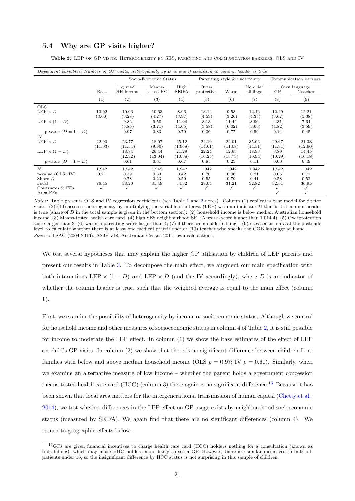## <span id="page-20-0"></span>5.4 Why are GP visits higher?

<span id="page-20-1"></span>Table 3: LEP ON GP VISITS: HETEROGENEITY BY SES, PARENTING AND COMMUNICATION BARRIERS, OLS AND IV

| Dependent variables: Number of $GP$ visits, heterogeneity by $D$ is one if condition in column header is true |                  |                          |                       |                      |                               |                  |                      |                  |                         |
|---------------------------------------------------------------------------------------------------------------|------------------|--------------------------|-----------------------|----------------------|-------------------------------|------------------|----------------------|------------------|-------------------------|
|                                                                                                               |                  |                          | Socio-Economic Status |                      | Parenting style & uncertainty |                  |                      |                  | Communication barriers  |
|                                                                                                               | Base             | $\rm < med$<br>HH income | Means-<br>tested HC   | High<br><b>SEIFA</b> | Over-<br>protective           | Warm             | No older<br>siblings | GP               | Own language<br>Teacher |
|                                                                                                               | (1)              | (2)                      | (3)                   | (4)                  | (5)                           | (6)              | (7)                  | (8)              | (9)                     |
| <b>OLS</b>                                                                                                    |                  |                          |                       |                      |                               |                  |                      |                  |                         |
| $LEP \times D$                                                                                                | 10.02<br>(3.00)  | 10.06<br>(3.28)          | 10.63<br>(4.27)       | 8.96<br>(3.97)       | 13.14<br>(4.59)               | 9.53<br>(3.26)   | 12.42<br>(4.35)      | 12.49<br>(3.67)  | 12.21<br>(5.38)         |
| LEP $\times$ (1 – D)                                                                                          |                  | 9.82<br>(5.85)           | 9.50<br>(3.71)        | 11.04<br>(4.05)      | 8.13<br>(3.58)                | 11.42<br>(6.02)  | 8.90<br>(3.63)       | 4.31<br>(4.82)   | 7.64<br>(3.59)          |
| p-value $(D = 1 - D)$<br>IV                                                                                   |                  | 0.97                     | 0.83                  | 0.70                 | 0.36                          | 0.77             | 0.50                 | 0.14             | 0.45                    |
| $LEP \times D$                                                                                                | 22.90<br>(11.03) | 23.77<br>(11.34)         | 18.07<br>(9.90)       | 25.12<br>(13.68)     | 24.10<br>(14.61)              | 24.01<br>(11.08) | 35.06<br>(14.51)     | 29.67<br>(11.91) | 21.33<br>(12.66)        |
| LEP $\times$ (1 – D)                                                                                          |                  | 18.84<br>(12.92)         | 26.44<br>(13.04)      | 21.29<br>(10.38)     | 22.24<br>(10.25)              | 12.63<br>(13.73) | 18.93<br>(10.94)     | 3.89<br>(10.29)  | 14.45<br>(10.18)        |
| p-value $(D = 1 - D)$                                                                                         |                  | 0.61                     | 0.31                  | 0.67                 | 0.85                          | 0.23             | 0.11                 | 0.00             | 0.49                    |
| N                                                                                                             | 1,942            | 1,942                    | 1,942                 | 1,942                | 1,942                         | 1,942            | 1,942                | 1,942            | 1,942                   |
| $p$ -value (OLS=IV)<br>Share $D$                                                                              | 0.21             | 0.39<br>0.78             | 0.33<br>0.23          | 0.42<br>0.50         | 0.20<br>0.55                  | 0.06<br>0.79     | 0.21<br>0.41         | 0.05<br>0.58     | 0.71<br>0.52            |
| Fstat                                                                                                         | 76.45            | 38.20                    | 31.49                 | 34.32                | 29.04                         | 31.21            | 32.82                | 32.31            | 36.95                   |
| Covariates & FEs<br>Area FEs                                                                                  | ✓                | ✓                        | $\checkmark$          | ✓                    | $\checkmark$                  | ✓                | ✓                    | ✓                | ✓<br>✓                  |

Notes: Table presents OLS and IV regression coefficients (see Table [1](#page-12-0) and [2](#page-14-0) notes). Column (1) replicates base model for doctor visits.  $(2)-(10)$  assesses heterogeneity by multiplying the variable of interest (LEP) with an indicator D that is 1 if column header is true (share of  $D$  in the total sample is given in the bottom section): (2) household income is below median Australian household income, (3) Means-tested health care card, (4) high SES neighbourhood SEIFA score (score higher than 1.014.4), (5) Overprotection score larger than 3; (6) warmth parenting score larger than 4; (7) if there are no older siblings. (9) uses census data at the postcode level to calculate whether there is at least one medical practitioner or (10) teacher who speaks the COB language at home. Source: LSAC (2004-2016), ASJP v18, Australian Census 2011, own calculations.

We test several hypotheses that may explain the higher GP utilisation by children of LEP parents and present our results in Table [3.](#page-20-1) To decompose the main effect, we augment our main specification with both interactions LEP  $\times$  (1 – D) and LEP  $\times$  D (and the IV accordingly), where D is an indicator of whether the column header is true, such that the weighted average is equal to the main effect (column 1).

First, we examine the possibility of heterogeneity by income or socioeconomic status. Although we control for household income and other measures of socioeconomic status in column 4 of Table [2,](#page-14-0) it is still possible for income to moderate the LEP effect. In column (1) we show the base estimates of the effect of LEP on child's GP visits. In column (2) we show that there is no significant difference between children from families with below and above median household income (OLS  $p = 0.97$ ; IV  $p = 0.61$ ). Similarly, when we examine an alternative measure of low income – whether the parent holds a government concession means-tested health care card (HCC) (column 3) there again is no significant difference.<sup>[16](#page-20-2)</sup> Because it has been shown that local area matters for the intergenerational transmission of human capital [\(Chetty et al.,](#page-25-18) [2014\)](#page-25-18), we test whether differences in the LEP effect on GP usage exists by neighbourhood socioeconomic status (measured by SEIFA). We again find that there are no significant differences (column 4). We return to geographic effects below.

<span id="page-20-2"></span><sup>16</sup>GPs are given financial incentives to charge health care card (HCC) holders nothing for a consultation (known as bulk-billing), which may make HHC holders more likely to see a GP. However, there are similar incentives to bulk-bill patients under 16, so the insignificant difference by HCC status is not surprising in this sample of children.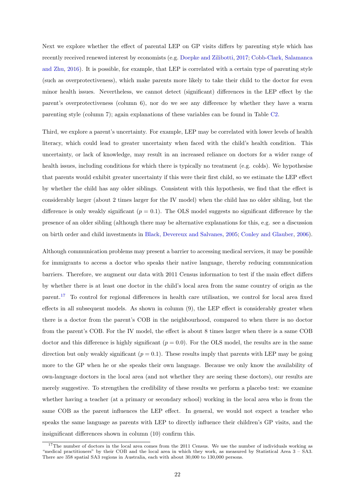Next we explore whether the effect of parental LEP on GP visits differs by parenting style which has recently received renewed interest by economists (e.g. [Doepke and Zilibotti,](#page-26-18) [2017;](#page-26-18) [Cobb-Clark, Salamanca](#page-25-19) [and Zhu,](#page-25-19) [2016\)](#page-25-19). It is possible, for example, that LEP is correlated with a certain type of parenting style (such as overprotectiveness), which make parents more likely to take their child to the doctor for even minor health issues. Nevertheless, we cannot detect (significant) differences in the LEP effect by the parent's overprotectiveness (column 6), nor do we see any difference by whether they have a warm parenting style (column 7); again explanations of these variables can be found in Table [C2.](#page-44-0)

Third, we explore a parent's uncertainty. For example, LEP may be correlated with lower levels of health literacy, which could lead to greater uncertainty when faced with the child's health condition. This uncertainty, or lack of knowledge, may result in an increased reliance on doctors for a wider range of health issues, including conditions for which there is typically no treatment (e.g. colds). We hypothesise that parents would exhibit greater uncertainty if this were their first child, so we estimate the LEP effect by whether the child has any older siblings. Consistent with this hypothesis, we find that the effect is considerably larger (about 2 times larger for the IV model) when the child has no older sibling, but the difference is only weakly significant  $(p = 0.1)$ . The OLS model suggests no significant difference by the presence of an older sibling (although there may be alternative explanations for this, e.g. see a discussion on birth order and child investments in [Black, Devereux and Salvanes,](#page-25-20) [2005;](#page-25-20) [Conley and Glauber,](#page-25-21) [2006\)](#page-25-21).

Although communication problems may present a barrier to accessing medical services, it may be possible for immigrants to access a doctor who speaks their native language, thereby reducing communication barriers. Therefore, we augment our data with 2011 Census information to test if the main effect differs by whether there is at least one doctor in the child's local area from the same country of origin as the parent.[17](#page-21-0) To control for regional differences in health care utilisation, we control for local area fixed effects in all subsequent models. As shown in column (9), the LEP effect is considerably greater when there is a doctor from the parent's COB in the neighbourhood, compared to when there is no doctor from the parent's COB. For the IV model, the effect is about 8 times larger when there is a same COB doctor and this difference is highly significant  $(p = 0.0)$ . For the OLS model, the results are in the same direction but only weakly significant  $(p = 0.1)$ . These results imply that parents with LEP may be going more to the GP when he or she speaks their own language. Because we only know the availability of own-language doctors in the local area (and not whether they are seeing these doctors), our results are merely suggestive. To strengthen the credibility of these results we perform a placebo test: we examine whether having a teacher (at a primary or secondary school) working in the local area who is from the same COB as the parent influences the LEP effect. In general, we would not expect a teacher who speaks the same language as parents with LEP to directly influence their children's GP visits, and the insignificant differences shown in column (10) confirm this.

<span id="page-21-0"></span> $17$ The number of doctors in the local area comes from the 2011 Census. We use the number of individuals working as "medical practitioners" by their COB and the local area in which they work, as measured by Statistical Area 3 – SA3. There are 358 spatial SA3 regions in Australia, each with about 30,000 to 130,000 persons.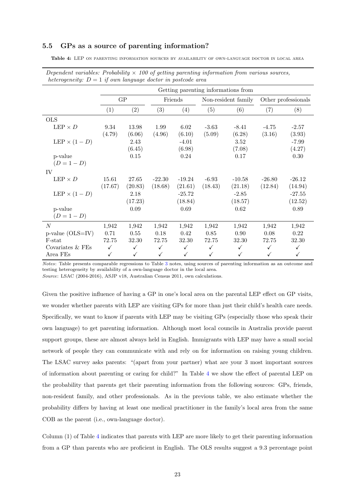## 5.5 GPs as a source of parenting information?

<span id="page-22-0"></span>Table 4: LEP ON PARENTING INFORMATION SOURCES BY AVAILABILITY OF OWN-LANGUAGE DOCTOR IN LOCAL AREA

| heterogeneity: $D = 1$ if own language doctor in postcode area |              |              |              |              |              |                                     |              |                     |
|----------------------------------------------------------------|--------------|--------------|--------------|--------------|--------------|-------------------------------------|--------------|---------------------|
|                                                                |              |              |              |              |              | Getting parenting informations from |              |                     |
|                                                                |              | GP           |              | Friends      |              | Non-resident family                 |              | Other professionals |
|                                                                | (1)          | (2)          | (3)          | (4)          | (5)          | (6)                                 | (7)          | (8)                 |
| <b>OLS</b>                                                     |              |              |              |              |              |                                     |              |                     |
| LEP $\times D$                                                 | 9.34         | 13.98        | 1.99         | 6.02         | $-3.63$      | $-8.41$                             | $-4.75$      | $-2.57$             |
|                                                                | (4.79)       | (6.06)       | (4.96)       | (6.10)       | (5.09)       | (6.28)                              | (3.16)       | (3.93)              |
| LEP $\times (1-D)$                                             |              | 2.43         |              | $-4.01$      |              | 3.52                                |              | $-7.99$             |
|                                                                |              | (6.45)       |              | (6.98)       |              | (7.08)                              |              | (4.27)              |
| p-value                                                        |              | $0.15\,$     |              | 0.24         |              | 0.17                                |              | 0.30                |
| $(D = 1 - D)$                                                  |              |              |              |              |              |                                     |              |                     |
| IV                                                             |              |              |              |              |              |                                     |              |                     |
| LEP $\times D$                                                 | 15.61        | 27.65        | $-22.30$     | $-19.24$     | $-6.93$      | $-10.58$                            | $-26.80$     | $-26.12$            |
|                                                                | (17.67)      | (20.83)      | (18.68)      | (21.61)      | (18.43)      | (21.18)                             | (12.84)      | (14.94)             |
| LEP $\times$ (1 – D)                                           |              | 2.18         |              | $-25.72$     |              | $-2.85$                             |              | $-27.55$            |
|                                                                |              | (17.23)      |              | (18.84)      |              | (18.57)                             |              | (12.52)             |
| p-value                                                        |              | 0.09         |              | 0.69         |              | 0.62                                |              | 0.89                |
| $(D = 1 - D)$                                                  |              |              |              |              |              |                                     |              |                     |
| $\overline{N}$                                                 | 1,942        | 1,942        | 1,942        | 1,942        | 1,942        | 1,942                               | 1,942        | 1,942               |
| $p$ -value (OLS=IV)                                            | 0.71         | 0.55         | 0.18         | 0.42         | $0.85\,$     | 0.90                                | 0.08         | 0.22                |
| F-stat                                                         | 72.75        | 32.30        | 72.75        | 32.30        | 72.75        | 32.30                               | 72.75        | 32.30               |
| Covariates & FEs                                               | $\checkmark$ | $\checkmark$ | $\checkmark$ | $\checkmark$ | $\checkmark$ | $\checkmark$                        | $\checkmark$ | $\checkmark$        |
| Area FEs                                                       | $\checkmark$ | $\checkmark$ | $\checkmark$ | $\checkmark$ | $\checkmark$ | $\checkmark$                        | $\checkmark$ | $\checkmark$        |

| Dependent variables: Probability $\times$ 100 of getting parenting information from various sources, |  |  |  |
|------------------------------------------------------------------------------------------------------|--|--|--|
| heterogeneity: $D = 1$ if own language doctor in postcode area                                       |  |  |  |

Notes: Table presents comparable regressions to Table [3](#page-20-1) notes, using sources of parenting information as an outcome and testing heterogeneity by availability of a own-language doctor in the local area. Source: LSAC (2004-2016), ASJP v18, Australian Census 2011, own calculations.

Given the positive influence of having a GP in one's local area on the parental LEP effect on GP visits, we wonder whether parents with LEP are visiting GPs for more than just their child's health care needs. Specifically, we want to know if parents with LEP may be visiting GPs (especially those who speak their own language) to get parenting information. Although most local councils in Australia provide parent support groups, these are almost always held in English. Immigrants with LEP may have a small social network of people they can communicate with and rely on for information on raising young children. The LSAC survey asks parents: "(apart from your partner) what are your 3 most important sources of information about parenting or caring for child?" In Table [4](#page-22-0) we show the effect of parental LEP on the probability that parents get their parenting information from the following sources: GPs, friends, non-resident family, and other professionals. As in the previous table, we also estimate whether the probability differs by having at least one medical practitioner in the family's local area from the same COB as the parent (i.e., own-language doctor).

Column (1) of Table [4](#page-22-0) indicates that parents with LEP are more likely to get their parenting information from a GP than parents who are proficient in English. The OLS results suggest a 9.3 percentage point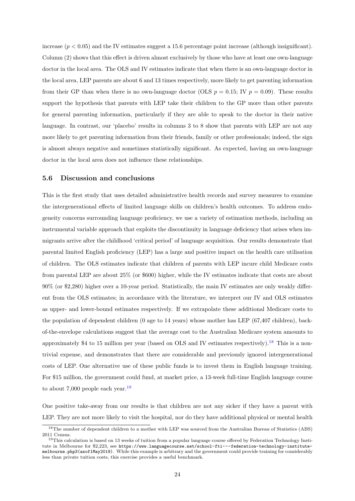increase  $(p < 0.05)$  and the IV estimates suggest a 15.6 percentage point increase (although insignificant). Column (2) shows that this effect is driven almost exclusively by those who have at least one own-language doctor in the local area. The OLS and IV estimates indicate that when there is an own-language doctor in the local area, LEP parents are about 6 and 13 times respectively, more likely to get parenting information from their GP than when there is no own-language doctor (OLS  $p = 0.15$ ; IV  $p = 0.09$ ). These results support the hypothesis that parents with LEP take their children to the GP more than other parents for general parenting information, particularly if they are able to speak to the doctor in their native language. In contrast, our 'placebo' results in columns 3 to 8 show that parents with LEP are not any more likely to get parenting information from their friends, family or other professionals; indeed, the sign is almost always negative and sometimes statistically significant. As expected, having an own-language doctor in the local area does not influence these relationships.

#### 5.6 Discussion and conclusions

This is the first study that uses detailed administrative health records and survey measures to examine the intergenerational effects of limited language skills on children's health outcomes. To address endogeneity concerns surrounding language proficiency, we use a variety of estimation methods, including an instrumental variable approach that exploits the discontinuity in language deficiency that arises when immigrants arrive after the childhood 'critical period' of language acquisition. Our results demonstrate that parental limited English proficiency (LEP) has a large and positive impact on the health care utilisation of children. The OLS estimates indicate that children of parents with LEP incure child Medicare costs from parental LEP are about 25% (or \$600) higher, while the IV estimates indicate that costs are about 90% (or \$2,280) higher over a 10-year period. Statistically, the main IV estimates are only weakly different from the OLS estimates; in accordance with the literature, we interpret our IV and OLS estimates as upper- and lower-bound estimates respectively. If we extrapolate these additional Medicare costs to the population of dependent children (0 age to 14 years) whose mother has LEP (67,407 children), backof-the-envelope calculations suggest that the average cost to the Australian Medicare system amounts to approximately \$4 to 15 million per year (based on OLS and IV estimates respectively).<sup>[18](#page-23-0)</sup> This is a nontrivial expense, and demonstrates that there are considerable and previously ignored intergenerational costs of LEP. One alternative use of these public funds is to invest them in English language training. For \$15 million, the government could fund, at market price, a 13-week full-time English language course to about 7,000 people each year.<sup>[19](#page-23-1)</sup>

One positive take-away from our results is that children are not any sicker if they have a parent with LEP. They are not more likely to visit the hospital, nor do they have additional physical or mental health

<span id="page-23-0"></span><sup>&</sup>lt;sup>18</sup>The number of dependent children to a mother with LEP was sourced from the Australian Bureau of Statistics (ABS) 2011 Census.

<span id="page-23-1"></span><sup>19</sup>This calculation is based on 13 weeks of tuition from a popular language course offered by Federation Technology Institute in Melbourne for \$2,223, see [https://www.languagecourse.net/school-fti---federation-technology-institute](https://www.languagecourse.net/school-fti---federation-technology-institute-melbourne.php3 (as of 1 May 2019))[melbourne.php3\(asof1May2019\)](https://www.languagecourse.net/school-fti---federation-technology-institute-melbourne.php3 (as of 1 May 2019)). While this example is arbitrary and the government could provide training for considerably less than private tuition costs, this exercise provides a useful benchmark.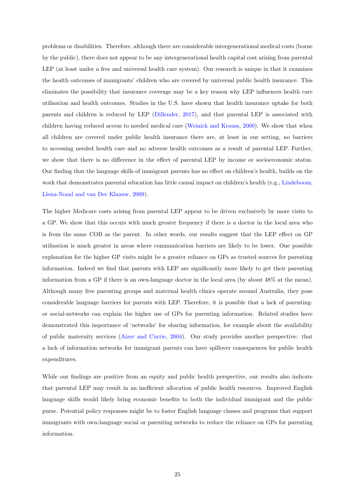problems or disabilities. Therefore, although there are considerable intergenerational medical costs (borne by the public), there does not appear to be any intergenerational health capital cost arising from parental LEP (at least under a free and universal health care system). Our research is unique in that it examines the health outcomes of immigrants' children who are covered by universal public health insurance. This eliminates the possibility that insurance coverage may be a key reason why LEP influences health care utilisation and health outcomes. Studies in the U.S. have shown that health insurance uptake for both parents and children is reduced by LEP [\(Dillender,](#page-26-4) [2017\)](#page-26-4), and that parental LEP is associated with children having reduced access to needed medical care [\(Weinick and Krauss,](#page-27-5) [2000\)](#page-27-5). We show that when all children are covered under public health insurance there are, at least in our setting, no barriers to accessing needed health care and no adverse health outcomes as a result of parental LEP. Further, we show that there is no difference in the effect of parental LEP by income or socioeconomic status. Our finding that the language skills of immigrant parents has no effect on children's health, builds on the work that demonstrates parental education has little causal impact on children's health (e.g., [Lindeboom,](#page-27-0) [Llena-Nozal and van Der Klaauw,](#page-27-0) [2009\)](#page-27-0).

The higher Medicare costs arising from parental LEP appear to be driven exclusively by more visits to a GP. We show that this occurs with much greater frequency if there is a doctor in the local area who is from the same COB as the parent. In other words, our results suggest that the LEP effect on GP utilisation is much greater in areas where communication barriers are likely to be lower. One possible explanation for the higher GP visits might be a greater reliance on GPs as trusted sources for parenting information. Indeed we find that parents with LEP are significantly more likely to get their parenting information from a GP if there is an own-language doctor in the local area (by about 48% at the mean). Although many free parenting groups and maternal health clinics operate around Australia, they pose considerable language barriers for parents with LEP. Therefore, it is possible that a lack of parentingor social-networks can explain the higher use of GPs for parenting information. Related studies have demonstrated this importance of 'networks' for sharing information, for example about the availability of public maternity services [\(Aizer and Currie,](#page-25-13) [2004\)](#page-25-13). Our study provides another perspective: that a lack of information networks for immigrant parents can have spillover consequences for public health expenditures.

While our findings are positive from an equity and public health perspective, our results also indicate that parental LEP may result in an inefficient allocation of public health resources. Improved English language skills would likely bring economic benefits to both the individual immigrant and the public purse. Potential policy responses might be to foster English language classes and programs that support immigrants with own-language social or parenting networks to reduce the reliance on GPs for parenting information.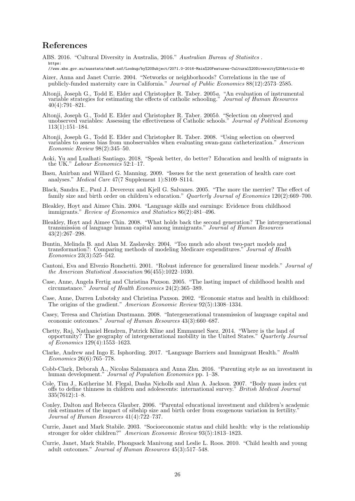## References

- <span id="page-25-7"></span>ABS. 2016. "Cultural Diversity in Australia, 2016." Australian Bureau of Statisitcs. [https:](https://www.abs.gov.au/ausstats/abs@.nsf/Lookup/by%20Subject/2071.0~2016~Main%20Features~Cultural%20Diversity%20Article~60)
- [//www.abs.gov.au/ausstats/abs@.nsf/Lookup/by%20Subject/2071.0~2016~Main%20Features~Cultural%20Diversity%20Article~60](https://www.abs.gov.au/ausstats/abs@.nsf/Lookup/by%20Subject/2071.0~2016~Main%20Features~Cultural%20Diversity%20Article~60)
- <span id="page-25-13"></span>Aizer, Anna and Janet Currie. 2004. "Networks or neighborhoods? Correlations in the use of publicly-funded maternity care in California." Journal of Public Economics 88(12):2573–2585.
- <span id="page-25-10"></span>Altonji, Joseph G., Todd E. Elder and Christopher R. Taber. 2005a. "An evaluation of instrumental variable strategies for estimating the effects of catholic schooling." Journal of Human Resources 40(4):791–821.
- <span id="page-25-9"></span>Altonji, Joseph G., Todd E. Elder and Christopher R. Taber. 2005b. "Selection on observed and unobserved variables: Assessing the effectiveness of Catholic schools." Journal of Political Economy 113(1):151–184.
- <span id="page-25-8"></span>Altonji, Joseph G., Todd E. Elder and Christopher R. Taber. 2008. "Using selection on observed variables to assess bias from unobservables when evaluating swan-ganz catheterization." American Economic Review 98(2):345–50.
- <span id="page-25-11"></span>Aoki, Yu and Lualhati Santiago. 2018. "Speak better, do better? Education and health of migrants in the UK." Labour Economics 52:1–17.
- <span id="page-25-14"></span>Basu, Anirban and Willard G. Manning. 2009. "Issues for the next generation of health care cost analyses." Medical Care 47(7 Supplement 1):S109–S114.
- <span id="page-25-20"></span>Black, Sandra E., Paul J. Devereux and Kjell G. Salvanes. 2005. "The more the merrier? The effect of family size and birth order on children's education." Quarterly Journal of Economics 120(2):669-700.
- <span id="page-25-6"></span>Bleakley, Hoyt and Aimee Chin. 2004. "Language skills and earnings: Evidence from childhood immigrants." Review of Economics and Statistics 86(2):481–496.
- <span id="page-25-4"></span>Bleakley, Hoyt and Aimee Chin. 2008. "What holds back the second generation? The intergenerational transmission of language human capital among immigrants." Journal of Human Resources 43(2):267–298.
- <span id="page-25-15"></span>Buntin, Melinda B. and Alan M. Zaslavsky. 2004. "Too much ado about two-part models and transformation?: Comparing methods of modeling Medicare expenditures." Journal of Health Economics 23(3):525–542.
- <span id="page-25-16"></span>Cantoni, Eva and Elvezio Ronchetti. 2001. "Robust inference for generalized linear models." Journal of the American Statistical Association 96(455):1022–1030.
- <span id="page-25-1"></span>Case, Anne, Angela Fertig and Christina Paxson. 2005. "The lasting impact of childhood health and circumstance." Journal of Health Economics 24(2):365–389.
- <span id="page-25-2"></span>Case, Anne, Darren Lubotsky and Christina Paxson. 2002. "Economic status and health in childhood: The origins of the gradient." American Economic Review 92(5):1308–1334.
- <span id="page-25-5"></span>Casey, Teresa and Christian Dustmann. 2008. "Intergenerational transmission of language capital and economic outcomes." Journal of Human Resources 43(3):660–687.
- <span id="page-25-18"></span>Chetty, Raj, Nathaniel Hendren, Patrick Kline and Emmanuel Saez. 2014. "Where is the land of opportunity? The geography of intergenerational mobility in the United States." *Quarterly Journal* of Economics 129(4):1553–1623.
- <span id="page-25-12"></span>Clarke, Andrew and Ingo E. Isphording. 2017. "Language Barriers and Immigrant Health." Health Economics 26(6):765–778.
- <span id="page-25-19"></span>Cobb-Clark, Deborah A., Nicolas Salamanca and Anna Zhu. 2016. "Parenting style as an investment in human development." *Journal of Population Economics* pp. 1–38.
- <span id="page-25-17"></span>Cole, Tim J., Katherine M. Flegal, Dasha Nicholls and Alan A. Jackson. 2007. "Body mass index cut offs to define thinness in children and adolescents: international survey." British Medical Journal 335(7612):1–8.
- <span id="page-25-21"></span>Conley, Dalton and Rebecca Glauber. 2006. "Parental educational investment and children's academic risk estimates of the impact of sibship size and birth order from exogenous variation in fertility." Journal of Human Resources 41(4):722–737.
- <span id="page-25-3"></span>Currie, Janet and Mark Stabile. 2003. "Socioeconomic status and child health: why is the relationship stronger for older children?" American Economic Review 93(5):1813–1823.
- <span id="page-25-0"></span>Currie, Janet, Mark Stabile, Phongsack Manivong and Leslie L. Roos. 2010. "Child health and young adult outcomes." Journal of Human Resources 45(3):517–548.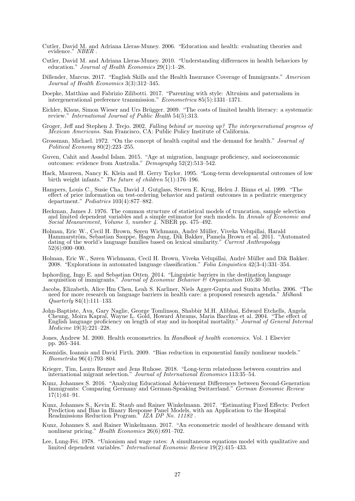- <span id="page-26-6"></span>Cutler, David M. and Adriana Lleras-Muney. 2006. "Education and health: evaluating theories and evidence." NBER .
- <span id="page-26-0"></span>Cutler, David M. and Adriana Lleras-Muney. 2010. "Understanding differences in health behaviors by education." Journal of Health Economics 29(1):1–28.
- <span id="page-26-4"></span>Dillender, Marcus. 2017. "English Skills and the Health Insurance Coverage of Immigrants." American Journal of Health Economics 3(3):312–345.
- <span id="page-26-18"></span>Doepke, Matthias and Fabrizio Zilibotti. 2017. "Parenting with style: Altruism and paternalism in intergenerational preference transmission." Econometrica 85(5):1331–1371.
- <span id="page-26-8"></span>Eichler, Klaus, Simon Wieser and Urs Brügger. 2009. "The costs of limited health literacy: a systematic review." International Journal of Public Health 54(5):313.
- <span id="page-26-3"></span>Groger, Jeff and Stephen J. Trejo. 2002. Falling behind or moving up? The intergenerational progress of Mexican Americans. San Francisco, CA: Public Policy Institute of California.
- <span id="page-26-5"></span>Grossman, Michael. 1972. "On the concept of health capital and the demand for health." Journal of Political Economy 80(2):223–255.
- <span id="page-26-1"></span>Guven, Cahit and Asadul Islam. 2015. "Age at migration, language proficiency, and socioeconomic outcomes: evidence from Australia."  $Demography$  52(2):513-542.
- <span id="page-26-16"></span>Hack, Maureen, Nancy K. Klein and H. Gerry Taylor. 1995. "Long-term developmental outcomes of low birth weight infants." The future of children  $5(1)$ :176–196.
- <span id="page-26-9"></span>Hampers, Louis C., Susie Cha, David J. Gutglass, Steven E. Krug, Helen J. Binns et al. 1999. "The effect of price information on test-ordering behavior and patient outcomes in a pediatric emergency department." Pediatrics 103(4):877–882.
- <span id="page-26-13"></span>Heckman, James J. 1976. The common structure of statistical models of truncation, sample selection and limited dependent variables and a simple estimator for such models. In Annals of Economic and Social Measurement, Volume 5, number 4. NBER pp. 475–492.
- <span id="page-26-21"></span>Holman, Eric W., Cecil H. Brown, Søren Wichmann, André Müller, Viveka Velupillai, Harald Hammarström, Sebastian Sauppe, Hagen Jung, Dik Bakker, Pamela Brown et al. 2011. "Automated dating of the world's language families based on lexical similarity." Current Anthropology 52(6):000–000.
- <span id="page-26-20"></span>Holman, Eric W., Søren Wichmann, Cecil H. Brown, Viveka Velupillai, André Müller and Dik Bakker. 2008. "Explorations in automated language classification." Folia Linguistica 42(3-4):331–354.
- <span id="page-26-19"></span>Isphording, Ingo E. and Sebastian Otten. 2014. "Linguistic barriers in the destination language acquisition of immigrants." Journal of Economic Behavior & Organization 105:30–50.
- <span id="page-26-7"></span>Jacobs, Elizabeth, Alice Hm Chen, Leah S. Karliner, Niels Agger-Gupta and Sunita Mutha. 2006. "The need for more research on language barriers in health care: a proposed research agenda." Milbank Quarterly 84(1):111–133.
- <span id="page-26-10"></span>John-Baptiste, Ava, Gary Naglie, George Tomlinson, Shabbir M.H. Alibhai, Edward Etchells, Angela Cheung, Moira Kapral, Wayne L. Gold, Howard Abrams, Maria Bacchus et al. 2004. "The effect of English language proficiency on length of stay and in-hospital mortality." Journal of General Internal Medicine 19(3):221–228.
- <span id="page-26-12"></span>Jones, Andrew M. 2000. Health econometrics. In *Handbook of health economics*. Vol. 1 Elsevier pp. 265–344.
- <span id="page-26-15"></span>Kosmidis, Ioannis and David Firth. 2009. "Bias reduction in exponential family nonlinear models." Biometrika 96(4):793–804.
- <span id="page-26-22"></span>Krieger, Tim, Laura Renner and Jens Ruhose. 2018. "Long-term relatedness between countries and international migrant selection." Journal of International Economics 113:35–54.
- <span id="page-26-2"></span>Kunz, Johannes S. 2016. "Analyzing Educational Achievement Differences between Second-Generation Immigrants: Comparing Germany and German-Speaking Switzerland." German Economic Review  $17(1):61-91.$
- <span id="page-26-11"></span>Kunz, Johannes S., Kevin E. Staub and Rainer Winkelmann. 2017. "Estimating Fixed Effects: Perfect Prediction and Bias in Binary Response Panel Models, with an Application to the Hospital Readmissions Reduction Program.<sup>\*</sup> IZA DP No. 11182.
- <span id="page-26-17"></span>Kunz, Johannes S. and Rainer Winkelmann. 2017. "An econometric model of healthcare demand with nonlinear pricing." Health Economics 26(6):691–702.
- <span id="page-26-14"></span>Lee, Lung-Fei. 1978. "Unionism and wage rates: A simultaneous equations model with qualitative and limited dependent variables." International Economic Review 19(2):415–433.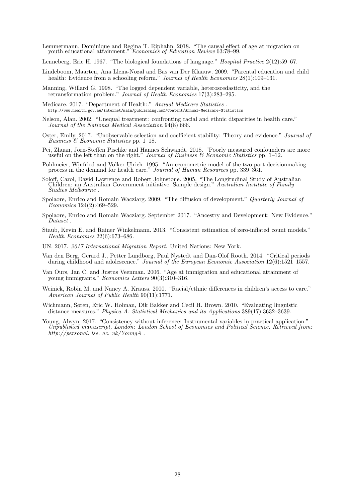- <span id="page-27-9"></span>Lemmermann, Dominique and Regina T. Riphahn. 2018. "The causal effect of age at migration on youth educational attainment." Economics of Education Review 63:78–99.
- <span id="page-27-4"></span>Lenneberg, Eric H. 1967. "The biological foundations of language." Hospital Practice 2(12):59–67.
- <span id="page-27-0"></span>Lindeboom, Maarten, Ana Llena-Nozal and Bas van Der Klaauw. 2009. "Parental education and child health: Evidence from a schooling reform." *Journal of Health Economics* 28(1):109–131.
- <span id="page-27-12"></span>Manning, Willard G. 1998. "The logged dependent variable, heteroscedasticity, and the retransformation problem." Journal of Health Economics 17(3):283–295.
- <span id="page-27-8"></span>Medicare. 2017. "Department of Health:." Annual Medicare Statistics . <http://www.health.gov.au/internet/main/publishing.nsf/Content/Annual-Medicare-Statistics>
- <span id="page-27-6"></span>Nelson, Alan. 2002. "Unequal treatment: confronting racial and ethnic disparities in health care." Journal of the National Medical Association 94(8):666.
- <span id="page-27-3"></span>Oster, Emily. 2017. "Unobservable selection and coefficient stability: Theory and evidence." Journal of Business & Economic Statistics pp. 1–18.
- <span id="page-27-2"></span>Pei, Zhuan, Jörn-Steffen Pischke and Hannes Schwandt. 2018. "Poorly measured confounders are more useful on the left than on the right." Journal of Business  $\mathscr B$  Economic Statistics pp. 1–12.
- <span id="page-27-15"></span>Pohlmeier, Winfried and Volker Ulrich. 1995. "An econometric model of the two-part decisionmaking process in the demand for health care." Journal of Human Resources pp. 339–361.
- <span id="page-27-7"></span>Soloff, Carol, David Lawrence and Robert Johnstone. 2005. "The Longitudinal Study of Australian Children: an Australian Government initiative. Sample design." Australian Institute of Family Studies Melbourne .
- <span id="page-27-14"></span>Spolaore, Enrico and Romain Wacziarg. 2009. "The diffusion of development." Quarterly Journal of Economics 124(2):469–529.
- <span id="page-27-18"></span>Spolaore, Enrico and Romain Wacziarg. September 2017. "Ancestry and Development: New Evidence." Dataset .
- <span id="page-27-16"></span>Staub, Kevin E. and Rainer Winkelmann. 2013. "Consistent estimation of zero-inflated count models." Health Economics 22(6):673–686.
- <span id="page-27-1"></span>UN. 2017. 2017 International Migration Report. United Nations: New York.
- <span id="page-27-10"></span>Van den Berg, Gerard J., Petter Lundborg, Paul Nystedt and Dan-Olof Rooth. 2014. "Critical periods during childhood and adolescence." Journal of the European Economic Association 12(6):1521–1557.
- <span id="page-27-11"></span>Van Ours, Jan C. and Justus Veenman. 2006. "Age at immigration and educational attainment of young immigrants." Economics Letters 90(3):310–316.
- <span id="page-27-5"></span>Weinick, Robin M. and Nancy A. Krauss. 2000. "Racial/ethnic differences in children's access to care." American Journal of Public Health 90(11):1771.
- <span id="page-27-17"></span>Wichmann, Søren, Eric W. Holman, Dik Bakker and Cecil H. Brown. 2010. "Evaluating linguistic distance measures." Physica A: Statistical Mechanics and its Applications 389(17):3632–3639.
- <span id="page-27-13"></span>Young, Alwyn. 2017. "Consistency without inference: Instrumental variables in practical application." Unpublished manuscript, London: London School of Economics and Political Science. Retrieved from: http://personal. lse. ac. uk/YoungA .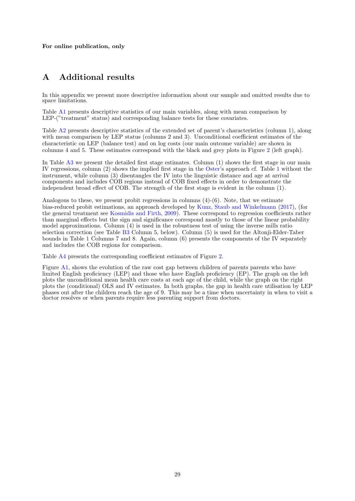For online publication, only

# A Additional results

In this appendix we present more descriptive information about our sample and omitted results due to space limitations.

Table [A1](#page-29-0) presents descriptive statistics of our main variables, along with mean comparison by LEP-("treatment" status) and corresponding balance tests for these covariates.

Table [A2](#page-30-0) presents descriptive statistics of the extended set of parent's characteristics (column 1), along with mean comparison by LEP status (columns 2 and 3). Unconditional coefficient estimates of the characteristic on LEP (balance test) and on log costs (our main outcome variable) are shown in columns 4 and 5. These estimates correspond with the black and grey plots in Figure [2](#page-8-0) (left graph).

In Table [A3](#page-31-0) we present the detailed first stage estimates. Column (1) shows the first stage in our main IV regressions, column (2) shows the implied first stage in the [Oster'](#page-27-3)s approach cf. Table [1](#page-12-0) without the instrument, while column (3) disentangles the IV into the linguistic distance and age at arrival components and includes COB regions instead of COB fixed effects in order to demonstrate the independent broad effect of COB. The strength of the first stage is evident in the column (1).

Analogous to these, we present probit regressions in columns (4)-(6). Note, that we estimate bias-reduced probit estimations, an approach developed by [Kunz, Staub and Winkelmann](#page-26-11) [\(2017\)](#page-26-11), (for the general treatment see [Kosmidis and Firth,](#page-26-15) [2009\)](#page-26-15). These correspond to regression coefficients rather than marginal effects but the sign and significance correspond mostly to those of the linear probability model approximations. Column (4) is used in the robustness test of using the inverse mills ratio selection correction (see Table [B3](#page-40-0) Column 5, below). Column (5) is used for the Altonji-Elder-Taber bounds in Table [1](#page-12-0) Columns 7 and 8. Again, column (6) presents the components of the IV separately and includes the COB regions for comparison.

Table [A4](#page-32-0) presents the corresponding coefficient estimates of Figure [2.](#page-8-0)

Figure [A1,](#page-33-0) shows the evolution of the raw cost gap between children of parents parents who have limited English proficiency (LEP) and those who have English proficiency (EP). The graph on the left plots the unconditional mean health care costs at each age of the child, while the graph on the right plots the (conditional) OLS and IV estimates. In both graphs, the gap in health care utilisation by LEP phases out after the children reach the age of 9. This may be a time when uncertainty in when to visit a doctor resolves or when parents require less parenting support from doctors.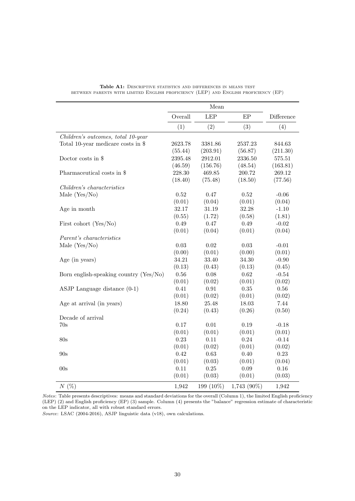<span id="page-29-0"></span>

|                                        |          | Mean       |             |            |
|----------------------------------------|----------|------------|-------------|------------|
|                                        | Overall  | <b>LEP</b> | EP          | Difference |
|                                        | (1)      | (2)        | (3)         | (4)        |
| Children's outcomes, total 10-year     |          |            |             |            |
| Total 10-year medicare costs in $\$$   | 2623.78  | 3381.86    | 2537.23     | 844.63     |
|                                        | (55.44)  | (203.91)   | (56.87)     | (211.30)   |
| Doctor costs in \$                     | 2395.48  | 2912.01    | 2336.50     | $575.51\,$ |
|                                        | (46.59)  | (156.76)   | (48.54)     | (163.81)   |
| Pharmaceutical costs in \$             | 228.30   | 469.85     | 200.72      | 269.12     |
|                                        | (18.40)  | (75.48)    | (18.50)     | (77.56)    |
| Children's characteristics             |          |            |             |            |
| Male $(Yes/No)$                        | 0.52     | 0.47       | 0.52        | $-0.06$    |
|                                        | (0.01)   | (0.04)     | (0.01)      | (0.04)     |
| Age in month                           | 32.17    | 31.19      | 32.28       | $-1.10$    |
|                                        | (0.55)   | (1.72)     | (0.58)      | (1.81)     |
| First cohort (Yes/No)                  | 0.49     | 0.47       | 0.49        | $-0.02$    |
|                                        | (0.01)   | (0.04)     | (0.01)      | (0.04)     |
| Parent's characteristics               |          |            |             |            |
| Male $(Yes/No)$                        | 0.03     | 0.02       | 0.03        | $-0.01$    |
|                                        | (0.00)   | (0.01)     | (0.00)      | (0.01)     |
| Age (in years)                         | 34.21    | 33.40      | 34.30       | $-0.90$    |
|                                        | (0.13)   | (0.43)     | (0.13)      | (0.45)     |
| Born english-speaking country (Yes/No) | $0.56\,$ | 0.08       | 0.62        | $-0.54$    |
|                                        | (0.01)   | (0.02)     | (0.01)      | (0.02)     |
| ASJP Language distance $(0-1)$         | 0.41     | 0.91       | 0.35        | 0.56       |
|                                        | (0.01)   | (0.02)     | (0.01)      | (0.02)     |
| Age at arrival (in years)              | 18.80    | 25.48      | 18.03       | 7.44       |
|                                        | (0.24)   | (0.43)     | (0.26)      | (0.50)     |
| Decade of arrival                      |          |            |             |            |
| 70s                                    | 0.17     | 0.01       | 0.19        | $-0.18$    |
|                                        | (0.01)   | (0.01)     | (0.01)      | (0.01)     |
| 80s                                    | 0.23     | 0.11       | 0.24        | $-0.14$    |
|                                        | (0.01)   | (0.02)     | (0.01)      | (0.02)     |
| 90s                                    | 0.42     | 0.63       | 0.40        | $0.23\,$   |
|                                        | (0.01)   | (0.03)     | (0.01)      | (0.04)     |
| 00s                                    | 0.11     | 0.25       | 0.09        | 0.16       |
|                                        | (0.01)   | (0.03)     | (0.01)      | (0.03)     |
| $N(\%)$                                | 1,942    | 199 (10%)  | 1,743 (90%) | 1,942      |

Table A1: DESCRIPTIVE STATISTICS AND DIFFERENCES IN MEANS TEST between parents with limited English proficiency (LEP) and English proficiency (EP)

Notes: Table presents descriptives: means and standard deviations for the overall (Column 1), the limited English proficiency (LEP) (2) and English proficiency (EP) (3) sample. Column (4) presents the "balance" regression estimate of characteristic on the LEP indicator, all with robust standard errors.

Source: LSAC (2004-2016), ASJP linguistic data (v18), own calculations.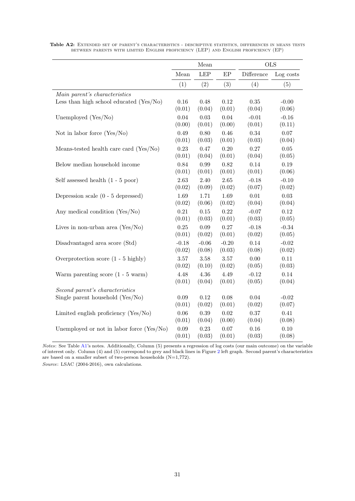|                                               |          | Mean       |         | <b>OLS</b> |           |
|-----------------------------------------------|----------|------------|---------|------------|-----------|
|                                               | Mean     | <b>LEP</b> | EP      | Difference | Log costs |
|                                               | (1)      | (2)        | (3)     | (4)        | (5)       |
| Main parent's characteristics                 |          |            |         |            |           |
| Less than high school educated $(Yes/No)$     | 0.16     | 0.48       | 0.12    | $0.35\,$   | $-0.00$   |
|                                               | (0.01)   | (0.04)     | (0.01)  | (0.04)     | (0.06)    |
| Unemployed (Yes/No)                           | 0.04     | 0.03       | 0.04    | $-0.01$    | $-0.16$   |
|                                               | (0.00)   | (0.01)     | (0.00)  | (0.01)     | (0.11)    |
| Not in labor force $(Yes/No)$                 | 0.49     | 0.80       | 0.46    | 0.34       | 0.07      |
|                                               | (0.01)   | (0.03)     | (0.01)  | (0.03)     | (0.04)    |
| Means-tested health care card (Yes/No)        | $0.23\,$ | 0.47       | 0.20    | 0.27       | $0.05\,$  |
|                                               | (0.01)   | (0.04)     | (0.01)  | (0.04)     | (0.05)    |
| Below median household income                 | 0.84     | 0.99       | 0.82    | 0.14       | 0.19      |
|                                               | (0.01)   | (0.01)     | (0.01)  | (0.01)     | (0.06)    |
| Self assessed health $(1 - 5 \text{ poor})$   | 2.63     | 2.40       | 2.65    | $-0.18$    | $-0.10$   |
|                                               | (0.02)   | (0.09)     | (0.02)  | (0.07)     | (0.02)    |
| Depression scale $(0 - 5$ depressed)          | $1.69\,$ | 1.71       | 1.69    | $0.01\,$   | $0.03\,$  |
|                                               | (0.02)   | (0.06)     | (0.02)  | (0.04)     | (0.04)    |
| Any medical condition (Yes/No)                | 0.21     | $0.15\,$   | 0.22    | $-0.07$    | 0.12      |
|                                               | (0.01)   | (0.03)     | (0.01)  | (0.03)     | (0.05)    |
| Lives in non-urban area $(Yes/No)$            | $0.25\,$ | 0.09       | 0.27    | $-0.18$    | $-0.34$   |
|                                               | (0.01)   | (0.02)     | (0.01)  | (0.02)     | (0.05)    |
| Disadvantaged area score (Std)                | $-0.18$  | $-0.06$    | $-0.20$ | 0.14       | $-0.02$   |
|                                               | (0.02)   | (0.08)     | (0.03)  | (0.08)     | (0.02)    |
| Overprotection score $(1 - 5 \text{ highly})$ | 3.57     | 3.58       | 3.57    | 0.00       | 0.11      |
|                                               | (0.02)   | (0.10)     | (0.02)  | (0.05)     | (0.03)    |
| Warm parenting score $(1 - 5 \text{ warm})$   | 4.48     | 4.36       | 4.49    | $-0.12$    | 0.14      |
|                                               | (0.01)   | (0.04)     | (0.01)  | (0.05)     | (0.04)    |
| Second parent's characteristics               |          |            |         |            |           |
| Single parent household (Yes/No)              | 0.09     | 0.12       | 0.08    | 0.04       | $-0.02$   |
|                                               | (0.01)   | (0.02)     | (0.01)  | (0.02)     | (0.07)    |
| Limited english proficiency (Yes/No)          | $0.06\,$ | $0.39\,$   | 0.02    | 0.37       | 0.41      |
|                                               | (0.01)   | (0.04)     | (0.00)  | (0.04)     | (0.08)    |
| Unemployed or not in labor force $(Yes/No)$   | $0.09\,$ | 0.23       | 0.07    | 0.16       | 0.10      |
|                                               | (0.01)   | (0.03)     | (0.01)  | (0.03)     | (0.08)    |

<span id="page-30-0"></span>Table A2: EXTENDED SET OF PARENT'S CHARACTERISTICS - DESCRIPTIVE STATISTICS, DIFFERENCES IN MEANS TESTS between parents with limited English proficiency (LEP) and English proficiency (EP)

Notes: See Table [A1'](#page-29-0)s notes. Additionally, Column (5) presents a regression of log costs (our main outcome) on the variable of interest only. Column (4) and (5) correspond to grey and black lines in Figure [2](#page-8-0) left graph. Second parent's characteristics are based on a smaller subset of two-person households (N=1,772).

Source: LSAC (2004-2016), own calculations.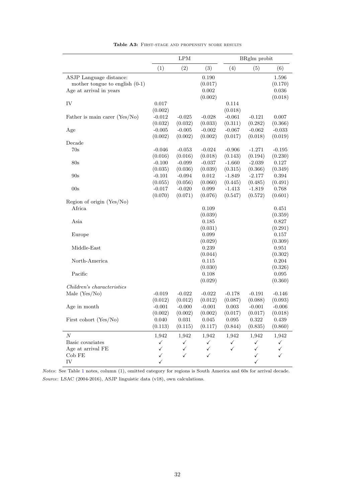<span id="page-31-0"></span>

|                                  |                     | $\mathrm{LPM}$      |                     |                     | BRglm probit        |                  |
|----------------------------------|---------------------|---------------------|---------------------|---------------------|---------------------|------------------|
|                                  | (1)                 | (2)                 | (3)                 | (4)                 | (5)                 | (6)              |
| ASJP Language distance:          |                     |                     | 0.190               |                     |                     | 1.596            |
| mother tongue to english $(0-1)$ |                     |                     | (0.017)             |                     |                     | (0.170)          |
| Age at arrival in years          |                     |                     | 0.002               |                     |                     | 0.036            |
|                                  |                     |                     | (0.002)             |                     |                     | (0.018)          |
| IV                               | 0.017               |                     |                     | 0.114               |                     |                  |
|                                  | (0.002)             |                     |                     | (0.018)             |                     |                  |
| Father is main carer (Yes/No)    | $-0.012$            | $-0.025$            | $-0.028$            | $-0.061$            | $-0.121$            | 0.007            |
|                                  | (0.032)             | (0.032)             | (0.033)             | (0.311)             | (0.282)             | (0.366)          |
| Age                              | $-0.005$            | $-0.005$            | $-0.002$            | $-0.067$            | $-0.062$            | $-0.033$         |
|                                  | (0.002)             | (0.002)             | (0.002)             | (0.017)             | (0.018)             | (0.019)          |
| Decade                           |                     |                     |                     |                     |                     |                  |
| 70s                              | $-0.046$            | $-0.053$            | $-0.024$            | $-0.906$            | $-1.271$            | $-0.195$         |
|                                  | (0.016)             | (0.016)<br>$-0.099$ | (0.018)             | (0.143)             | (0.194)             | (0.230)          |
| 80s                              | $-0.100$<br>(0.035) | (0.036)             | $-0.037$<br>(0.039) | $-1.660$<br>(0.315) | $-2.039$<br>(0.366) | 0.127<br>(0.349) |
| 90s                              | $-0.101$            | $-0.094$            | 0.012               | $-1.849$            | $-2.177$            | 0.394            |
|                                  | (0.055)             | (0.056)             | (0.060)             | (0.445)             | (0.485)             | (0.491)          |
| 00s                              | $-0.017$            | $-0.020$            | 0.099               | $-1.413$            | $-1.819$            | 0.768            |
|                                  | (0.070)             | (0.071)             | (0.076)             | (0.547)             | (0.572)             | (0.601)          |
| Region of origin (Yes/No)        |                     |                     |                     |                     |                     |                  |
| Africa                           |                     |                     | 0.109               |                     |                     | 0.451            |
|                                  |                     |                     | (0.039)             |                     |                     | (0.359)          |
| Asia                             |                     |                     | 0.185               |                     |                     | 0.827            |
|                                  |                     |                     | (0.031)             |                     |                     | (0.291)          |
| Europe                           |                     |                     | 0.099               |                     |                     | 0.157            |
|                                  |                     |                     | (0.029)             |                     |                     | (0.309)          |
| Middle-East                      |                     |                     | 0.239               |                     |                     | 0.951            |
|                                  |                     |                     | (0.044)             |                     |                     | (0.302)          |
| North-America                    |                     |                     | 0.115               |                     |                     | 0.204            |
|                                  |                     |                     | (0.030)             |                     |                     | (0.326)          |
| Pacific                          |                     |                     | 0.108               |                     |                     | 0.095            |
|                                  |                     |                     | (0.029)             |                     |                     | (0.360)          |
| Children's characteristics       |                     |                     |                     |                     |                     |                  |
| Male $(Yes/No)$                  | $-0.019$            | $-0.022$            | $-0.022$            | $-0.178$            | $-0.191$            | $-0.146$         |
|                                  | (0.012)             | (0.012)             | (0.012)             | (0.087)             | (0.088)             | (0.093)          |
| Age in month                     | $-0.001$            | $-0.000$            | $-0.001$            | 0.003               | $-0.001$            | $-0.006$         |
|                                  | (0.002)             | (0.002)             | (0.002)             | (0.017)             | (0.017)             | (0.018)          |
| First cohort (Yes/No)            | 0.040               | 0.031               | 0.045               | 0.095               | 0.322               | 0.439            |
|                                  | (0.113)             | (0.115)             | (0.117)             | (0.844)             | (0.835)             | (0.860)          |
| $\overline{N}$                   | 1,942               | 1,942               | 1,942               | 1,942               | 1,942               | 1,942            |
| Basic covariates                 | $\checkmark$        | $\checkmark$        | $\checkmark$        | $\checkmark$        | $\checkmark$        | ✓                |
| Age at arrival FE                | $\checkmark$        | $\checkmark$        | $\checkmark$        | $\checkmark$        | $\checkmark$        | $\checkmark$     |
| $Cob$ FE                         | $\checkmark$        | $\checkmark$        | $\checkmark$        |                     | $\checkmark$        | $\checkmark$     |
| IV                               | $\checkmark$        |                     |                     |                     | $\checkmark$        |                  |

Table A3: FIRST-STAGE AND PROPENSITY SCORE RESULTS

Notes: See Table [1](#page-12-0) notes, column (1), omitted category for regions is South America and 60s for arrival decade. Source: LSAC (2004-2016), ASJP linguistic data (v18), own calculations.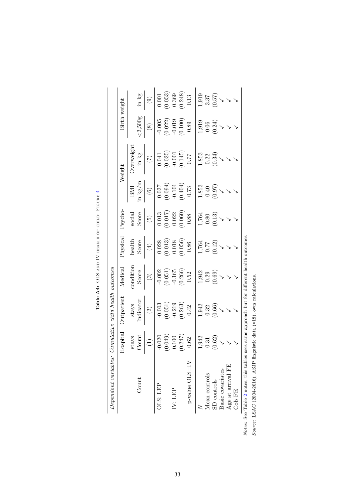<span id="page-32-0"></span>

|                        | Hospital                          | <b>Outpatient</b>                                                    | Medical                                                               | ${\rm Physical}$                                                            | Psycho                                                                      |                                                                                   | Weight                                                                       | Birth weight                                                                  |                                                                           |
|------------------------|-----------------------------------|----------------------------------------------------------------------|-----------------------------------------------------------------------|-----------------------------------------------------------------------------|-----------------------------------------------------------------------------|-----------------------------------------------------------------------------------|------------------------------------------------------------------------------|-------------------------------------------------------------------------------|---------------------------------------------------------------------------|
| $\operatorname{Count}$ | stays<br>Count                    | $In {\bf dicator}$<br>$\sup_{\ldots}$                                | condition<br>Score                                                    | $_{\rm{health}}$<br>Score                                                   | Score<br>$\rm social$                                                       | in $\text{kg/m}$<br>BMI                                                           | <b>Derweight</b><br>in kg                                                    | $<$ 2,500g                                                                    | in $\log$                                                                 |
|                        | $\begin{pmatrix} 1 \end{pmatrix}$ | $\odot$                                                              | $\odot$                                                               | $\tag{4}$                                                                   | $\widetilde{5}$                                                             | $\odot$                                                                           | $\widetilde{\Xi}$                                                            | $\circledS$                                                                   | $\odot$                                                                   |
| OLS: LEP               | $-0.020$                          |                                                                      |                                                                       |                                                                             |                                                                             |                                                                                   |                                                                              |                                                                               |                                                                           |
|                        | (0.049)                           | $\begin{array}{c} 0.003 \\ (0.051) \\ -0.219 \\ (0.263) \end{array}$ | $\begin{array}{c} -0.002 \\ (0.051) \\ -0.165 \\ (0.266) \end{array}$ |                                                                             |                                                                             | $\begin{array}{c} 0.037 \\ (0.094) \\ (101.0 \\ -0.101 \\ (0.404) \\ \end{array}$ | $\begin{array}{c} 0.041 \\ (0.035) \\ -0.001 \\ (0.145) \\ 0.77 \end{array}$ | $\begin{array}{c} -0.005 \\ (0.022) \\ -0.019 \\ (0.100) \\ 0.89 \end{array}$ | $\begin{array}{c} 0.001 \\ 0.053) \\ 0.369 \\ 0.248) \\ 0.13 \end{array}$ |
| IV: LEP                | 0.100                             |                                                                      |                                                                       |                                                                             |                                                                             |                                                                                   |                                                                              |                                                                               |                                                                           |
|                        | (0.247)                           |                                                                      |                                                                       |                                                                             |                                                                             |                                                                                   |                                                                              |                                                                               |                                                                           |
| $p$ -value $OLS=IV$    | 0.62                              | 0.42                                                                 | $0.52\,$                                                              | $\begin{array}{c} 0.028 \\ (0.013) \\ 0.018 \\ (0.056) \\ 0.86 \end{array}$ | $\begin{array}{c} 0.013 \\ (0.017) \\ 0.022 \\ (0.060) \\ 0.88 \end{array}$ |                                                                                   |                                                                              |                                                                               |                                                                           |
|                        | 1,942                             |                                                                      |                                                                       |                                                                             |                                                                             |                                                                                   |                                                                              |                                                                               |                                                                           |
| Mean controls          | 0.31                              |                                                                      |                                                                       |                                                                             |                                                                             |                                                                                   |                                                                              |                                                                               |                                                                           |
| ${\rm SD}$ controls    | (0.62)                            | $\frac{1,942}{0.32}$<br>(0.66)                                       | $\begin{array}{c} 1,942 \\ 0.29 \\ 0.69 \end{array}$                  | $1,764$<br>$0.77$<br>$(0.12)$                                               | $\frac{1,764}{0.80}$<br>(0.13)                                              | $\frac{1,853}{0.40}$                                                              | $1,853$<br>$0.22$<br>$(0.34)$                                                | $\begin{array}{c} 1,919 \\ 0.06 \\ 0.24 \end{array}$                          | $\begin{array}{c} 1,919 \\ 3.37 \\ 0.57 \end{array}$                      |
| Basic covariates       |                                   |                                                                      |                                                                       |                                                                             |                                                                             |                                                                                   |                                                                              |                                                                               |                                                                           |
| Age at arrival FE      |                                   |                                                                      |                                                                       |                                                                             |                                                                             |                                                                                   |                                                                              |                                                                               |                                                                           |
| Cob FE                 |                                   |                                                                      |                                                                       |                                                                             |                                                                             |                                                                                   |                                                                              |                                                                               |                                                                           |

Table A4: OLS AND IV HEALTH OF CHILD: FIGURE 4 Table A4: OLS and IV health of child: Figure [4](#page-17-2)

Notes: See Table 2 notes, this tables uses same approach but for different health outcomes. Notes: See Table [2](#page-14-0) notes, this tables uses same approach but for different health outcomes.

Source: LSAC (2004-2016), ASJP linguistic data (v18), own calculations. Source: LSAC (2004-2016), ASJP linguistic data (v18), own calculations.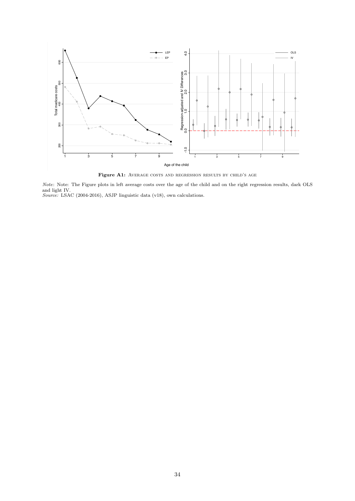<span id="page-33-0"></span>

Figure A1: AVERAGE COSTS AND REGRESSION RESULTS BY CHILD'S AGE

Note: Note: The Figure plots in left average costs over the age of the child and on the right regression results, dark OLS and light IV. Source: LSAC (2004-2016), ASJP linguistic data (v18), own calculations.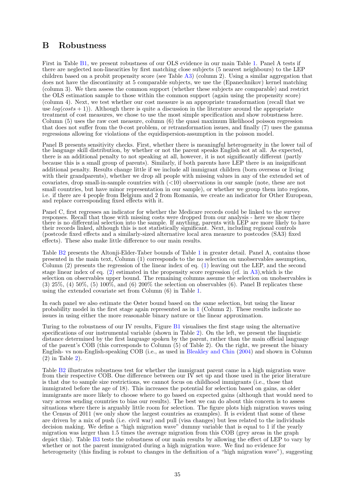## <span id="page-34-0"></span>B Robustness

First in Table [B1,](#page-36-0) we present robustness of our OLS evidence in our main Table [1.](#page-12-0) Panel A tests if there are neglected non-linearities by first matching close subjects (5 nearest neighbours) to the LEP children based on a probit propensity score (see Table [A3\)](#page-31-0) (column 2). Using a similar aggregation that does not have the discontinuity at 5 comparable subjects, we use the (Epanechnikov) kernel matching (column 3). We then assess the common support (whether these subjects are comparable) and restrict the OLS estimation sample to those within the common support (again using the propensity score) (column 4). Next, we test whether our cost measure is an appropriate transformation (recall that we use  $log(costs + 1)$ . Although there is quite a discussion in the literature around the appropriate treatment of cost measures, we chose to use the most simple specification and show robustness here. Column (5) uses the raw cost measure, column (6) the quasi maximum likelihood poisson regression that does not suffer from the 0-cost problem, or retransformation issues, and finally (7) uses the gamma regressions allowing for violations of the equidispersion-assumption in the poisson model.

Panel B presents sensitivity checks. First, whether there is meaningful heterogeneity in the lower tail of the language skill distribution, by whether or not the parent speaks English not at all. As expected, there is an additional penalty to not speaking at all, however, it is not significantly different (partly because this is a small group of parents). Similarly, if both parents have LEP there is an insignificant additional penalty. Results change little if we include all immigrant children (born overseas or living with their grandparents), whether we drop all people with missing values in any of the extended set of covariates, drop small-in-sample countries with  $(<10$ ) observations in our sample (note, these are not small countries, but have minor representation in our sample), or whether we group them into regions, i.e. if there are 4 people from Belgium and 2 from Romania, we create an indicator for Other European, and replace corresponding fixed effects with it.

Panel C, first regresses an indicator for whether the Medicare records could be linked to the survey responses. Recall that those with missing costs were dropped from our analysis - here we show there there is no differential selection into the sample. If anything, parents with LEP are more likely to have their records linked, although this is not statistically significant. Next, including regional controls (postcode fixed effects and a similarly-sized alternative local area measure to postcodes (SA3) fixed effects). These also make little difference to our main results.

Table [B2](#page-37-0) presents the Altonji-Elder-Taber bounds of Table [1](#page-12-0) in greater detail. Panel A, contains those presented in the main text, Column (1) corresponds to the no selection on unobservables assumption, Column (2) presents the regression of the linear index of eq. [\(1\)](#page-7-1) leaving out the LEP, and the second stage linear index of eq. [\(2\)](#page-9-0) estimated in the propensity score regression (cf. in [A3\)](#page-31-0),which is the selection on observables upper bound. The remaining columns assume the selection on unobservables is  $(3)$  25%,  $(4)$  50%,  $(5)$  100%, and  $(6)$  200% the selection on observables  $(6)$ . Panel B replicates these using the extended covariate set from Column (6) in Table [1.](#page-12-0)

In each panel we also estimate the Oster bound based on the same selection, but using the linear probability model in the first stage again represented as in [1](#page-12-0) (Column 2). These results indicate no issues in using either the more reasonable binary nature or the linear approximation.

Turing to the robustness of our IV results, Figure [B1](#page-38-0) visualises the first stage using the alternative specifications of our instrumental variable (shown in Table [2\)](#page-14-0). On the left, we present the linguistic distance determined by the first language spoken by the parent, rather than the main official language of the parent's COB (this corresponds to Column (5) of Table 2). On the right, we present the binary English- vs non-English-speaking COB (i.e., as used in [Bleakley and Chin](#page-25-6) [\(2004\)](#page-25-6) and shown in Column  $(2)$  $(2)$  in Table 2).

Table [B2](#page-37-0) illustrates robustness test for whether the immigrant parent came in a high migration wave from their respective COB. One difference between our  $\vec{IV}$  set up and those used in the prior literature is that due to sample size restrictions, we cannot focus on childhood immigrants (i.e., those that immigrated before the age of 18). This increases the potential for selection based on gains, as older immigrants are more likely to choose where to go based on expected gains (although that would need to vary across sending countries to bias our results). The best we can do about this concern is to assess situations where there is arguably little room for selection. The figure plots high migration waves using the Census of 2011 (we only show the largest countries as examples). It is evident that some of these are driven by a mix of push (i.e. civil war) and pull (visa changes) but less related to the individuals decision making. We define a "high migration wave" dummy variable that is equal to 1 if the yearly migration was larger than 1.5 times the average migration from this COB (grey areas in the graph depict this). Table [B3](#page-40-0) tests the robustness of our main results by allowing the effect of LEP to vary by whether or not the parent immigrated during a high migration wave. We find no evidence for heterogeneity (this finding is robust to changes in the definition of a "high migration wave"), suggesting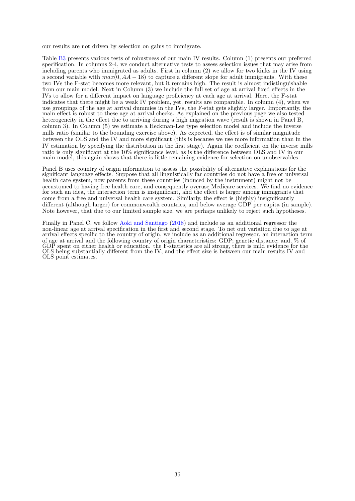our results are not driven by selection on gains to immigrate.

Table [B3](#page-40-0) presents various tests of robustness of our main IV results. Column (1) presents our preferred specification. In columns 2-4, we conduct alternative tests to assess selection issues that may arise from including parents who immigrated as adults. First in column (2) we allow for two kinks in the IV using a second variable with  $max(0, AA - 18)$  to capture a different slope for adult immigrants. With these two IVs the F-stat becomes more relevant, but it remains high. The result is almost indistinguishable from our main model. Next in Column (3) we include the full set of age at arrival fixed effects in the IVs to allow for a different impact on language proficiency at each age at arrival. Here, the F-stat indicates that there might be a weak IV problem, yet, results are comparable. In column (4), when we use groupings of the age at arrival dummies in the IVs, the F-stat gets slightly larger. Importantly, the main effect is robust to these age at arrival checks. As explained on the previous page we also tested heterogeneity in the effect due to arriving during a high migration wave (result is shown in Panel B, column 3). In Column (5) we estimate a Heckman-Lee type selection model and include the inverse mills ratio (similar to the bounding exercise above). As expected, the effect is of similar magnitude between the OLS and the IV and more significant (this is because we use more information than in the IV estimation by specifying the distribution in the first stage). Again the coefficient on the inverse mills ratio is only significant at the 10% significance level, as is the difference between OLS and IV in our main model, this again shows that there is little remaining evidence for selection on unobservables.

Panel B uses country of origin information to assess the possibility of alternative explanations for the significant language effects. Suppose that all linguistically far countries do not have a free or universal health care system, now parents from these countries (induced by the instrument) might not be accustomed to having free health care, and consequently overuse Medicare services. We find no evidence for such an idea, the interaction term is insignificant, and the effect is larger among immigrants that come from a free and universal health care system. Similarly, the effect is (highly) insignificantly different (although larger) for commonwealth countries, and below average GDP per capita (in sample). Note however, that due to our limited sample size, we are perhaps unlikely to reject such hypotheses.

Finally in Panel C. we follow [Aoki and Santiago](#page-25-11) [\(2018\)](#page-25-11) and include as an additional regressor the non-linear age at arrival specification in the first and second stage. To net out variation due to age at arrival effects specific to the country of origin, we include as an additional regressor, an interaction term of age at arrival and the following country of origin characteristics: GDP; genetic distance; and, % of GDP spent on either health or education. the F-statistics are all strong, there is mild evidence for the OLS being substantially different from the IV, and the effect size is between our main results IV and OLS point estimates.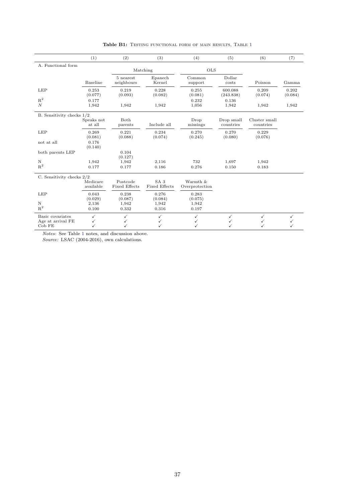<span id="page-36-0"></span>

|                               | (1)                   | (2)                              | (3)                         | (4)                        | (5)                     | (6)                        | (7)              |
|-------------------------------|-----------------------|----------------------------------|-----------------------------|----------------------------|-------------------------|----------------------------|------------------|
| A. Functional form            |                       |                                  |                             |                            |                         |                            |                  |
|                               |                       |                                  | Matching                    | <b>OLS</b>                 |                         |                            |                  |
|                               |                       | 5 nearest                        | Epanech                     | Common                     | Dollar                  |                            |                  |
|                               | Baseline              | neighbours                       | Kernel                      | support                    | costs                   | Poisson                    | Gamma            |
| <b>LEP</b>                    | 0.253<br>(0.077)      | 0.219<br>(0.093)                 | 0.228<br>(0.082)            | 0.255<br>(0.081)           | 600.088<br>(243.838)    | 0.209<br>(0.074)           | 0.202<br>(0.084) |
| $\mathbf{R}^2$                | 0.177                 |                                  |                             | 0.232                      | 0.136                   |                            |                  |
| $\boldsymbol{N}$              | 1,942                 | 1,942                            | 1,942                       | 1,056                      | 1,942                   | 1,942                      | 1,942            |
| B. Sensitivity checks $1/2$   |                       |                                  |                             |                            |                         |                            |                  |
|                               | Speaks not<br>at all  | Both<br>parents                  | Include all                 | Drop<br>missings           | Drop small<br>countries | Cluster small<br>countries |                  |
| LEP                           | 0.269<br>(0.081)      | 0.221<br>(0.088)                 | 0.234<br>(0.074)            | 0.270<br>(0.245)           | 0.270<br>(0.080)        | 0.229<br>(0.076)           |                  |
| not at all                    | 0.176<br>(0.140)      |                                  |                             |                            |                         |                            |                  |
| both parents LEP              |                       | 0.104<br>(0.127)                 |                             |                            |                         |                            |                  |
| N                             | 1,942                 | 1,942                            | 2,116                       | 732                        | 1,697                   | 1,942                      |                  |
| $\mathbf{R}^2$                | 0.177                 | 0.177                            | 0.186                       | 0.276                      | 0.150                   | 0.183                      |                  |
| C. Sensitivity checks 2/2     |                       |                                  |                             |                            |                         |                            |                  |
|                               | Medicare<br>available | Postcode<br><b>Fixed Effects</b> | SA3<br><b>Fixed Effects</b> | Warmth &<br>Overprotection |                         |                            |                  |
| <b>LEP</b>                    | 0.043                 | 0.238                            | 0.276                       | 0.283                      |                         |                            |                  |
|                               | (0.029)               | (0.087)                          | (0.084)                     | (0.075)                    |                         |                            |                  |
| $\mathbf N$<br>$\mathbf{R}^2$ | 2,136                 | 1,942                            | 1,942                       | 1,942                      |                         |                            |                  |
|                               | 0.100                 | 0.332                            | 0.316                       | 0.197                      |                         |                            |                  |
| Basic covariates              | $\checkmark$          | ✓                                | $\checkmark$                | $\checkmark$               | $\checkmark$            | ✓                          | ✓                |
| Age at arrival FE             | $\checkmark$          | ✓                                | ✓                           | ✓                          | ✓                       | ✓                          |                  |
| Cob FE                        | ✓                     | ✓                                | ✓                           | ✓                          | ✓                       | $\checkmark$               |                  |

Table B[1](#page-12-0): TESTING FUNCTIONAL FORM OF MAIN RESULTS, TABLE 1

Notes: See Table [1](#page-12-0) notes, and discussion above.

Source: LSAC (2004-2016), own calculations.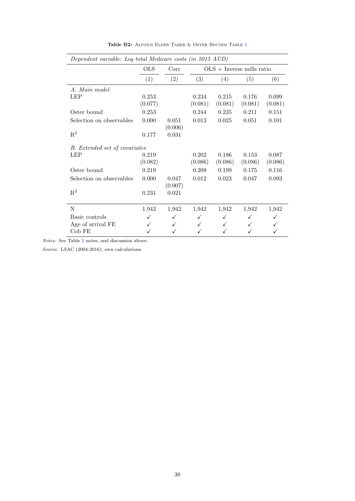<span id="page-37-0"></span>

|                               | <b>OLS</b>       | Corr             |                  |                  | $OLS + Inverse$ mills ratio |                  |
|-------------------------------|------------------|------------------|------------------|------------------|-----------------------------|------------------|
|                               | (1)              | (2)              | (3)              | (4)              | (5)                         | (6)              |
| A. Main model                 |                  |                  |                  |                  |                             |                  |
| <b>LEP</b>                    | 0.253<br>(0.077) |                  | 0.234<br>(0.081) | 0.215<br>(0.081) | 0.176<br>(0.081)            | 0.099<br>(0.081) |
| Oster bound                   | 0.253            |                  | 0.244            | 0.235            | 0.211                       | 0.151            |
| Selection on observables      | 0.000            | 0.051<br>(0.006) | 0.013            | 0.025            | 0.051                       | 0.101            |
| $\mathbf{R}^2$                | 0.177            | 0.031            |                  |                  |                             |                  |
| B. Extended set of covariates |                  |                  |                  |                  |                             |                  |
| <b>LEP</b>                    | 0.219<br>(0.082) |                  | 0.202<br>(0.086) | 0.186<br>(0.086) | 0.153<br>(0.086)            | 0.087<br>(0.086) |
| Oster bound                   | 0.219            |                  | 0.209            | 0.199            | 0.175                       | 0.116            |
| Selection on observables      | 0.000            | 0.047<br>(0.007) | 0.012            | 0.023            | 0.047                       | 0.093            |
| $\mathbf{R}^2$                | 0.231            | 0.021            |                  |                  |                             |                  |
| N                             | 1,942            | 1,942            | 1,942            | 1,942            | 1,942                       | 1,942            |
| Basic controls                | ✓                | √                | ✓                | ✓                |                             |                  |
| Age of arrival FE             |                  | ✓                | ✓                | $\checkmark$     |                             |                  |
| Cob FE                        |                  |                  |                  |                  |                             |                  |

Table B2: ALTONJI ELDER TABER & OSTER BOUNDS TABLE [1](#page-12-0)

Notes: See Table [1](#page-12-0) notes, and discussion above.

Source: LSAC (2004-2016), own calculations.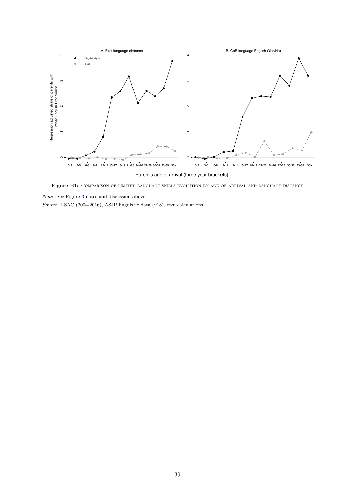<span id="page-38-0"></span>

Figure B1: COMPARISON OF LIMITED LANGUAGE SKILLS EVOLUTION BY AGE OF ARRIVAL AND LANGUAGE DISTANCE

Note: See Figure [3](#page-10-0) notes and discussion above.

Source: LSAC (2004-2016), ASJP linguistic data (v18), own calculations.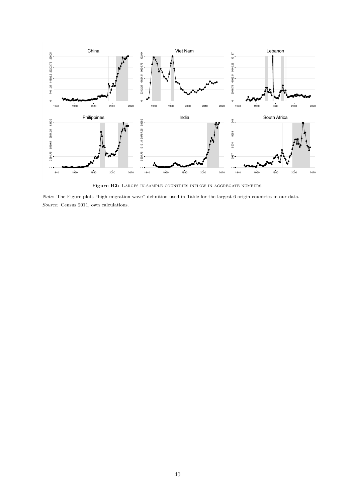<span id="page-39-0"></span>

Figure B2: LARGES IN-SAMPLE COUNTRIES INFLOW IN AGGREGATE NUMBERS.

Note: The Figure plots "high migration wave" definition used in Table for the largest 6 origin countries in our data. Source: Census 2011, own calculations.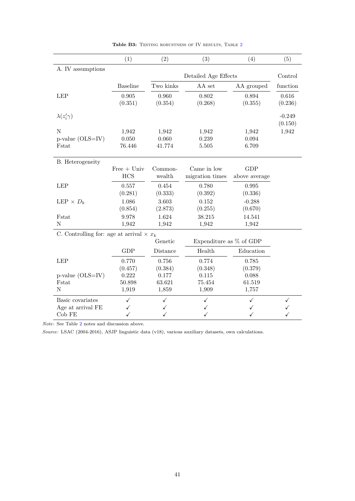<span id="page-40-0"></span>

|                                                 | (1)             | (2)       | (3)                       | (4)           | (5)      |
|-------------------------------------------------|-----------------|-----------|---------------------------|---------------|----------|
| A. IV assumptions                               |                 |           |                           |               |          |
|                                                 |                 |           | Detailed Age Effects      |               | Control  |
|                                                 | <b>Baseline</b> | Two kinks | AA set                    | AA grouped    | function |
| <b>LEP</b>                                      | 0.905           | 0.960     | 0.802                     | 0.894         | 0.616    |
|                                                 | (0.351)         | (0.354)   | (0.268)                   | (0.355)       | (0.236)  |
| $\lambda(z'_i\gamma)$                           |                 |           |                           |               | $-0.249$ |
|                                                 |                 |           |                           |               | (0.150)  |
| N                                               | 1,942           | 1,942     | 1,942                     | 1,942         | 1,942    |
| $p$ -value (OLS=IV)                             | 0.050           | 0.060     | 0.239                     | 0.094         |          |
| Fstat                                           | 76.446          | 41.774    | 5.505                     | 6.709         |          |
| B. Heterogeneity                                |                 |           |                           |               |          |
|                                                 | $Free + Univ$   | Common-   | Came in low               | <b>GDP</b>    |          |
|                                                 | <b>HCS</b>      | wealth    | migration times           | above average |          |
| <b>LEP</b>                                      | 0.557           | 0.454     | 0.780                     | 0.995         |          |
|                                                 | (0.281)         | (0.333)   | (0.392)                   | (0.336)       |          |
| LEP $\times D_k$                                | 1.086           | 3.603     | 0.152                     | $-0.288$      |          |
|                                                 | (0.854)         | (2.873)   | (0.255)                   | (0.670)       |          |
| Fstat                                           | 9.978           | 1.624     | 38.215                    | 14.541        |          |
| N                                               | 1,942           | 1,942     | 1,942                     | 1,942         |          |
| C. Controlling for: age at arrival $\times x_k$ |                 |           |                           |               |          |
|                                                 |                 | Genetic   | Expenditure as $%$ of GDP |               |          |
|                                                 | <b>GDP</b>      | Distance  | Health                    | Education     |          |
| <b>LEP</b>                                      | 0.770           | 0.756     | 0.774                     | 0.785         |          |
|                                                 | (0.457)         | (0.384)   | (0.348)                   | (0.379)       |          |
| p-value (OLS=IV)                                | 0.222           | 0.177     | 0.115                     | 0.088         |          |
| Fstat                                           | 50.898          | 63.621    | 75.454                    | 61.519        |          |
| N                                               | 1,919           | 1,859     | 1,909                     | 1,757         |          |
| Basic covariates                                | $\checkmark$    | ✓         | ✓                         | √             | ✓        |
| Age at arrival FE                               | ✓               | ✓         |                           | ✓             |          |
| Cob FE                                          | $\checkmark$    | ✓         | ✓                         | ✓             |          |

Table B3: TESTING ROBUSTNESS OF IV RESULTS, TABLE [2](#page-14-0)

Note: See Table [2](#page-14-0) notes and discussion above.

Source: LSAC (2004-2016), ASJP linguistic data (v18), various auxiliary datasets, own calculations.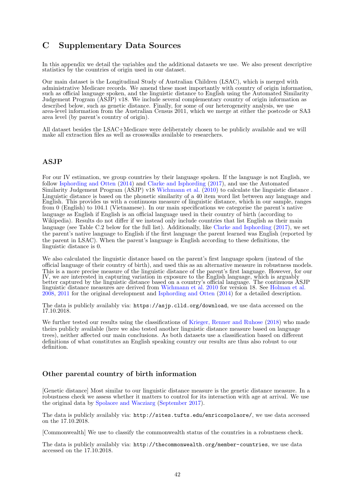# <span id="page-41-0"></span>C Supplementary Data Sources

In this appendix we detail the variables and the additional datasets we use. We also present descriptive statistics by the countries of origin used in our dataset.

Our main dataset is the Longitudinal Study of Australian Children (LSAC), which is merged with administrative Medicare records. We amend these most importantly with country of origin information, such as official language spoken, and the linguistic distance to English using the Automated Similarity Judgement Program (ASJP) v18. We include several complementary country of origin information as described below, such as genetic distance. Finally, for some of our heterogeneity analysis, we use area-level information from the Australian Census 2011, which we merge at either the postcode or SA3 area level (by parent's country of origin).

All dataset besides the LSAC+Medicare were deliberately chosen to be publicly available and we will make all extraction files as well as crosswalks available to researchers.

### ASJP

For our IV estimation, we group countries by their language spoken. If the language is not English, we follow [Isphording and Otten](#page-26-19) [\(2014\)](#page-26-19) and [Clarke and Isphording](#page-25-12) [\(2017\)](#page-25-12), and use the Automated Similarity Judgement Program (ASJP) v18 [Wichmann et al.](#page-27-17) [\(2010\)](#page-27-17) to calculate the linguistic distance . Linguistic distance is based on the phonetic similarity of a 40 item word list between any language and English. This provides us with a continuous measure of linguistic distance, which in our sample, ranges from 0 (English) to 104.1 (Vietnamese). In our main specifications we categorise the parent's native language as English if English is an official language used in their country of birth (according to Wikipedia). Results do not differ if we instead only include countries that list English as their main language (see Table C.2 below for the full list). Additionally, like [Clarke and Isphording](#page-25-12) [\(2017\)](#page-25-12), we set the parent's native language to English if the first language the parent learned was English (reported by the parent in LSAC). When the parent's language is English according to these definitions, the linguistic distance is 0.

We also calculated the linguistic distance based on the parent's first language spoken (instead of the official language of their country of birth), and used this as an alternative measure in robustness models. This is a more precise measure of the linguistic distance of the parent's first language. However, for our IV, we are interested in capturing variation in exposure to the English language, which is arguably better captured by the linguistic distance based on a country's official language. The continuous ASJP linguistic distance measures are derived from [Wichmann et al.](#page-27-17) [2010](#page-27-17) for version 18. See [Holman et al.](#page-26-20) [2008,](#page-26-20) [2011](#page-26-21) for the original development and [Isphording and Otten](#page-26-19) [\(2014\)](#page-26-19) for a detailed description.

The data is publicly availably via: <https://asjp.clld.org/download>, we use data accessed on the 17.10.2018.

We further tested our results using the classifications of [Krieger, Renner and Ruhose](#page-26-22) [\(2018\)](#page-26-22) who made theirs publicly available (here we also tested another linguistic distance measure based on language trees), neither affected our main conclusions. As both datasets use a classification based on different definitions of what constitutes an English speaking country our results are thus also robust to our definition.

## Other parental country of birth information

[Genetic distance] Most similar to our linguistic distance measure is the genetic distance measure. In a robustness check we assess whether it matters to control for its interaction with age at arrival. We use the original data by [Spolaore and Wacziarg](#page-27-18) [\(September 2017\)](#page-27-18).

The data is publicly availably via: <http://sites.tufts.edu/enricospolaore/>, we use data accessed on the 17.10.2018.

[Commonwealth] We use to classify the commonwealth status of the countries in a robustness check.

The data is publicly availably via: <http://thecommonwealth.org/member-countries>, we use data accessed on the 17.10.2018.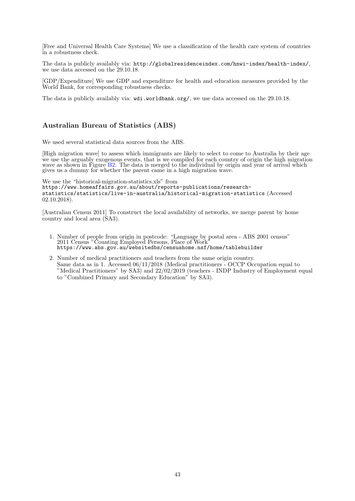[Free and Universal Health Care Systems] We use a classification of the health care system of countries in a robustness check.

The data is publicly availably via: <http://globalresidenceindex.com/hnwi-index/health-index/>, we use data accessed on the 29.10.18.

[GDP/Expenditure] We use GDP and expenditure for health and education measures provided by the World Bank, for corresponding robustness checks.

The data is publicly availably via:  $\text{wdi}$ .worldbank.org/, we use data accessed on the 29.10.18.

## Australian Bureau of Statistics (ABS)

We used several statistical data sources from the ABS.

[High migration wave] to assess which immigrants are likely to select to come to Australia by their age we use the arguably exogenous events, that is we compiled for each country of origin the high migration wave as shown in Figure [B2.](#page-39-0) The data is merged to the individual by origin and year of arrival which gives us a dummy for whether the parent came in a high migration wave.

We use the "historical-migration-statistics.xls" from [https://www.homeaffairs.gov.au/about/reports-publications/research](https://www.homeaffairs.gov.au/about/reports-publications/research-statistics/statistics/live-in-australia/historical-migration-statistics)[statistics/statistics/live-in-australia/historical-migration-statistics](https://www.homeaffairs.gov.au/about/reports-publications/research-statistics/statistics/live-in-australia/historical-migration-statistics) (Accessed 02.10.2018).

[Australian Census 2011] To construct the local availability of networks, we merge parent by home country and local area (SA3).

- 1. Number of people from origin in postcode: "Language by postal area ABS 2001 census" 2011 Census "Counting Employed Persons, Place of Work" <https://www.abs.gov.au/websitedbs/censushome.nsf/home/tablebuilder>
- 2. Number of medical practitioners and teachers from the same origin country. Same data as in 1. Accessed  $06/11/2018$  (Medical practitioners - OCCP Occupation equal to "Medical Practitioners" by SA3) and 22/02/2019 (teachers - INDP Industry of Employment equal to "Combined Primary and Secondary Education" by SA3).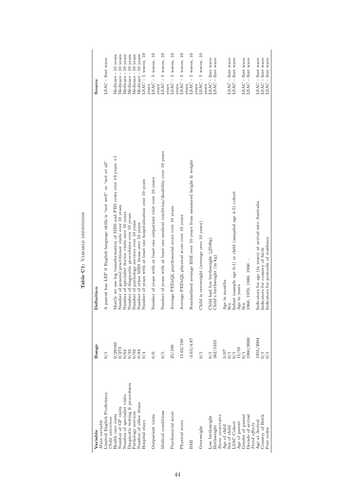| ١<br>ł<br>i<br>í<br>i |
|-----------------------|
|                       |
| ı                     |
|                       |

| Main variable<br>Variable                     | Range                            | Definition                                                                   | Source                                  |
|-----------------------------------------------|----------------------------------|------------------------------------------------------------------------------|-----------------------------------------|
| Limited English Proficiency<br>Child outcomes | 0/1                              | A parent has LEP if English language skills is "not well" or "not at all"    | LSAC - first wave                       |
| Health care costs                             | 0/28169                          | Mostly we use log transformation of MBS and PBS costs over 10 years +1       | Medicare - 10 years                     |
| Number of GP visits                           |                                  | Number of general practitioner visits over 10 years                          | Medicare - 10 years                     |
| Number of specialist visits                   |                                  | Number of specialist doctor visits over 10 years                             | Medicare - 10 years                     |
| Diagnostic testing & procedures               |                                  | Number of diagnostic procedures over 10 years                                | Medicare - 10 years                     |
| Pathology services                            |                                  | Number of pathology services over 10 years                                   | Medicare - 10 years                     |
| Number of other items                         |                                  | Number of other MBS items over 10 years                                      | Medicare - 10 years                     |
| Hospital stays                                |                                  | Number of years with at least one hospitalisation over 10 years              | LSAC - 5 waves, 10                      |
| Outpatient visits                             | 0/6                              | Number of years with at least one outpatient visit over 10 years             | $LSAC - 5$ waves, $10$<br>vears         |
|                                               |                                  |                                                                              | years                                   |
| Medical conditions                            | $\frac{6}{10}$                   | Number of years with at least one medical condition/disability over 10 years | LSAC - 5 waves, 10                      |
| Psychosocial score                            | 25/100                           | Average PEDsQL psychosocial score over 10 years                              | 5 waves, 10<br>LSAC-<br>vears           |
| Physical score                                | 15.62/100                        | Average PEDsQL physical score over 10 years                                  | 5 waves, 10<br>LSAC-<br>years           |
| BMI                                           | $-3.65/4.87$                     | Standardised average BMI over 10 years from measured height & weight         | $\approx$<br>5 waves,<br>LSAC-<br>years |
| Overweight                                    | 0/1                              | Child is overweight (average over 10 years)                                  | $5$ waves, $10$<br>LSAC-<br>vears       |
|                                               |                                  |                                                                              | years                                   |
| Low birthweight                               |                                  | Child had low birthweight $(12500g)$                                         | LSAC - first wave                       |
| Birthweight                                   | 382/5333                         | Child's birthweight (in kg)                                                  | LSAC - first wave                       |
| Basic covariates<br>Age of child              |                                  |                                                                              |                                         |
| Sex of child                                  |                                  | Age in months<br>Sex                                                         | LSAC - first wave                       |
| LSAC Cohort                                   | $\frac{3}{67}$<br>$\frac{1}{11}$ | Infant (sample age 0-1) or child (sampled age 4-5) cohort                    | LSAC - first wave                       |
| Age of parent                                 | 15/59                            | Age in years                                                                 |                                         |
| Gender of parent                              |                                  | Sex                                                                          | LSAC - first wave<br>LSAC - first wave  |
| Decade of arriva                              | 960/2000                         | 1960, 1970, 1980, 1990                                                       |                                         |
| Fixed effects                                 |                                  |                                                                              |                                         |
| Age at Arrival                                | 1955/2004                        | Indicators for age (in years) at arrival into Australia                      | LSAC - first wave                       |
| Country of Birth                              |                                  | Indicators for country of birth                                              | LSAC - first wave                       |
| Post codes                                    |                                  | Indicators for postcode of residence                                         | LSAC - first wave                       |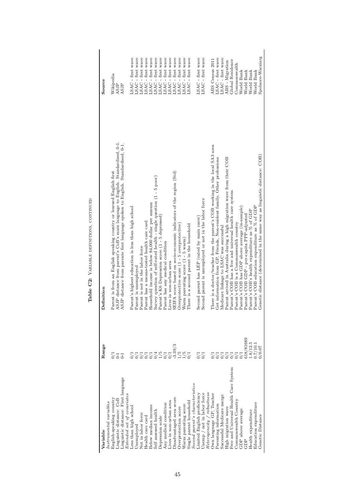<span id="page-44-0"></span>

| 5<br>5<br>inguistic distance: First language<br>$\emph{Extended set of covariates}$<br>English-speaking country<br>Linguistic distance: CoB<br>nstrumental variables<br>3elow median income<br>less than high school<br>Self assessed health<br>Not in labor force<br>Health care card<br>Jnemployed | ASJP distance from parent's CoB's main language to English. Standardised, 0-1.<br>ASJP distance from parents first language spoken to English. Standardised, 0-1.<br>Parent is from an English speaking country or learned English first<br>SEIFA score based on socio-economic indicators of the region (Std)<br>Survey question of self-rated health - single question (1 - 5 poor)<br>Household income is below 84,000 dollar per annum<br>Parent's highest education is less than high school<br>Parent's K6 Depression score (1 - 5 depressed)<br>Parent has a means-tested health care card<br>Overprotective score (1 - 5 overprotective)<br>Parent has any medical condition<br>Parent is not in the labor force<br>Lives in non-urban area<br>Parent is unemployed | SAC - first wave<br>SAC - first wave<br>LSAC - first wave<br>LSAC - first wave<br>LSAC - first wave<br>LSAC - first wave<br>wave<br>wave<br>LSAC - first wave<br>LSAC - first wave<br>$LSAC - first$<br>$LSAC - first$<br>Wikipedia<br>ASJP<br>ASJP |
|------------------------------------------------------------------------------------------------------------------------------------------------------------------------------------------------------------------------------------------------------------------------------------------------------|-----------------------------------------------------------------------------------------------------------------------------------------------------------------------------------------------------------------------------------------------------------------------------------------------------------------------------------------------------------------------------------------------------------------------------------------------------------------------------------------------------------------------------------------------------------------------------------------------------------------------------------------------------------------------------------------------------------------------------------------------------------------------------|-----------------------------------------------------------------------------------------------------------------------------------------------------------------------------------------------------------------------------------------------------|
|                                                                                                                                                                                                                                                                                                      |                                                                                                                                                                                                                                                                                                                                                                                                                                                                                                                                                                                                                                                                                                                                                                             |                                                                                                                                                                                                                                                     |
|                                                                                                                                                                                                                                                                                                      |                                                                                                                                                                                                                                                                                                                                                                                                                                                                                                                                                                                                                                                                                                                                                                             |                                                                                                                                                                                                                                                     |
|                                                                                                                                                                                                                                                                                                      |                                                                                                                                                                                                                                                                                                                                                                                                                                                                                                                                                                                                                                                                                                                                                                             |                                                                                                                                                                                                                                                     |
|                                                                                                                                                                                                                                                                                                      |                                                                                                                                                                                                                                                                                                                                                                                                                                                                                                                                                                                                                                                                                                                                                                             |                                                                                                                                                                                                                                                     |
|                                                                                                                                                                                                                                                                                                      |                                                                                                                                                                                                                                                                                                                                                                                                                                                                                                                                                                                                                                                                                                                                                                             |                                                                                                                                                                                                                                                     |
|                                                                                                                                                                                                                                                                                                      |                                                                                                                                                                                                                                                                                                                                                                                                                                                                                                                                                                                                                                                                                                                                                                             |                                                                                                                                                                                                                                                     |
|                                                                                                                                                                                                                                                                                                      |                                                                                                                                                                                                                                                                                                                                                                                                                                                                                                                                                                                                                                                                                                                                                                             |                                                                                                                                                                                                                                                     |
|                                                                                                                                                                                                                                                                                                      |                                                                                                                                                                                                                                                                                                                                                                                                                                                                                                                                                                                                                                                                                                                                                                             |                                                                                                                                                                                                                                                     |
|                                                                                                                                                                                                                                                                                                      |                                                                                                                                                                                                                                                                                                                                                                                                                                                                                                                                                                                                                                                                                                                                                                             |                                                                                                                                                                                                                                                     |
|                                                                                                                                                                                                                                                                                                      |                                                                                                                                                                                                                                                                                                                                                                                                                                                                                                                                                                                                                                                                                                                                                                             |                                                                                                                                                                                                                                                     |
|                                                                                                                                                                                                                                                                                                      |                                                                                                                                                                                                                                                                                                                                                                                                                                                                                                                                                                                                                                                                                                                                                                             |                                                                                                                                                                                                                                                     |
| <b>Depression</b> scale                                                                                                                                                                                                                                                                              |                                                                                                                                                                                                                                                                                                                                                                                                                                                                                                                                                                                                                                                                                                                                                                             |                                                                                                                                                                                                                                                     |
| Any medical condition                                                                                                                                                                                                                                                                                |                                                                                                                                                                                                                                                                                                                                                                                                                                                                                                                                                                                                                                                                                                                                                                             |                                                                                                                                                                                                                                                     |
| ives in non-urban area                                                                                                                                                                                                                                                                               |                                                                                                                                                                                                                                                                                                                                                                                                                                                                                                                                                                                                                                                                                                                                                                             |                                                                                                                                                                                                                                                     |
| $-3.39/3$<br>Oisadvantaged area score                                                                                                                                                                                                                                                                |                                                                                                                                                                                                                                                                                                                                                                                                                                                                                                                                                                                                                                                                                                                                                                             |                                                                                                                                                                                                                                                     |
| $\frac{5}{2}$<br>Overprotection score                                                                                                                                                                                                                                                                |                                                                                                                                                                                                                                                                                                                                                                                                                                                                                                                                                                                                                                                                                                                                                                             | LSAC - first wave                                                                                                                                                                                                                                   |
| Warm parenting score                                                                                                                                                                                                                                                                                 | Warm parenting score (1 - 5 warm                                                                                                                                                                                                                                                                                                                                                                                                                                                                                                                                                                                                                                                                                                                                            | LSAC - first wave                                                                                                                                                                                                                                   |
| Single parent household                                                                                                                                                                                                                                                                              | There is a second parent in the household                                                                                                                                                                                                                                                                                                                                                                                                                                                                                                                                                                                                                                                                                                                                   | LSAC - first wave                                                                                                                                                                                                                                   |
| Second parent's characteristics                                                                                                                                                                                                                                                                      |                                                                                                                                                                                                                                                                                                                                                                                                                                                                                                                                                                                                                                                                                                                                                                             |                                                                                                                                                                                                                                                     |
| imited English proficiency                                                                                                                                                                                                                                                                           | Second parent has LEP (rated by main carer)                                                                                                                                                                                                                                                                                                                                                                                                                                                                                                                                                                                                                                                                                                                                 | LSAC - first wave                                                                                                                                                                                                                                   |
| Jnemp / not in labor force                                                                                                                                                                                                                                                                           | Second parent is unemployed or not in the labor force                                                                                                                                                                                                                                                                                                                                                                                                                                                                                                                                                                                                                                                                                                                       | LSAC - first wave                                                                                                                                                                                                                                   |
| Heterogeneity / robustness                                                                                                                                                                                                                                                                           |                                                                                                                                                                                                                                                                                                                                                                                                                                                                                                                                                                                                                                                                                                                                                                             |                                                                                                                                                                                                                                                     |
| Own language GP, Teacher                                                                                                                                                                                                                                                                             | There is a doctor/teacher from the parent's COB working in the local SA3 area                                                                                                                                                                                                                                                                                                                                                                                                                                                                                                                                                                                                                                                                                               | ABS Census 2011                                                                                                                                                                                                                                     |
| arenting information                                                                                                                                                                                                                                                                                 | Get information from GP, Friends, Non-resident family, Other professions                                                                                                                                                                                                                                                                                                                                                                                                                                                                                                                                                                                                                                                                                                    | SAC - first wave                                                                                                                                                                                                                                    |
| Successful Medicare merge                                                                                                                                                                                                                                                                            | Medicare linkage to LSAC was successful                                                                                                                                                                                                                                                                                                                                                                                                                                                                                                                                                                                                                                                                                                                                     | LSAC - first wave                                                                                                                                                                                                                                   |
| High migration wave                                                                                                                                                                                                                                                                                  | Parent arrived in Australia during a high migration wave from their COB                                                                                                                                                                                                                                                                                                                                                                                                                                                                                                                                                                                                                                                                                                     | ABS - Migration                                                                                                                                                                                                                                     |
| Pree and Universal Health Care System                                                                                                                                                                                                                                                                | Parent's COB has a free and universal health care system                                                                                                                                                                                                                                                                                                                                                                                                                                                                                                                                                                                                                                                                                                                    | Global Residence                                                                                                                                                                                                                                    |
| Commonwealth Country                                                                                                                                                                                                                                                                                 | Parent's COB is a Commonwealth country                                                                                                                                                                                                                                                                                                                                                                                                                                                                                                                                                                                                                                                                                                                                      | Commonwealth                                                                                                                                                                                                                                        |
| GDP above average                                                                                                                                                                                                                                                                                    | Parent's COB has GDP above average (in-sample)                                                                                                                                                                                                                                                                                                                                                                                                                                                                                                                                                                                                                                                                                                                              | World Bank                                                                                                                                                                                                                                          |
| 618/81689<br>GDP                                                                                                                                                                                                                                                                                     | Parent's COB GDP - per-capita PPP-adjusted                                                                                                                                                                                                                                                                                                                                                                                                                                                                                                                                                                                                                                                                                                                                  | World Bank                                                                                                                                                                                                                                          |
| 1.8/12.5<br>Health expenditure                                                                                                                                                                                                                                                                       | Parent's COB's health expenditure as % of GDP                                                                                                                                                                                                                                                                                                                                                                                                                                                                                                                                                                                                                                                                                                                               | World Bank                                                                                                                                                                                                                                          |
| 0.7/10.1<br>Education expenditure                                                                                                                                                                                                                                                                    | Parent's COB education expenditure as % of GDP                                                                                                                                                                                                                                                                                                                                                                                                                                                                                                                                                                                                                                                                                                                              | World Bank                                                                                                                                                                                                                                          |
| 70.07<br>Genetic Distance                                                                                                                                                                                                                                                                            | Genetic distance (determined in the same way as linguistic distance: $COB$ )                                                                                                                                                                                                                                                                                                                                                                                                                                                                                                                                                                                                                                                                                                | Spolaore-Wacziarg                                                                                                                                                                                                                                   |

Table C2: VARIABLE DEFINITIONS, CONTINUED Table C2: Variable definitions, continued